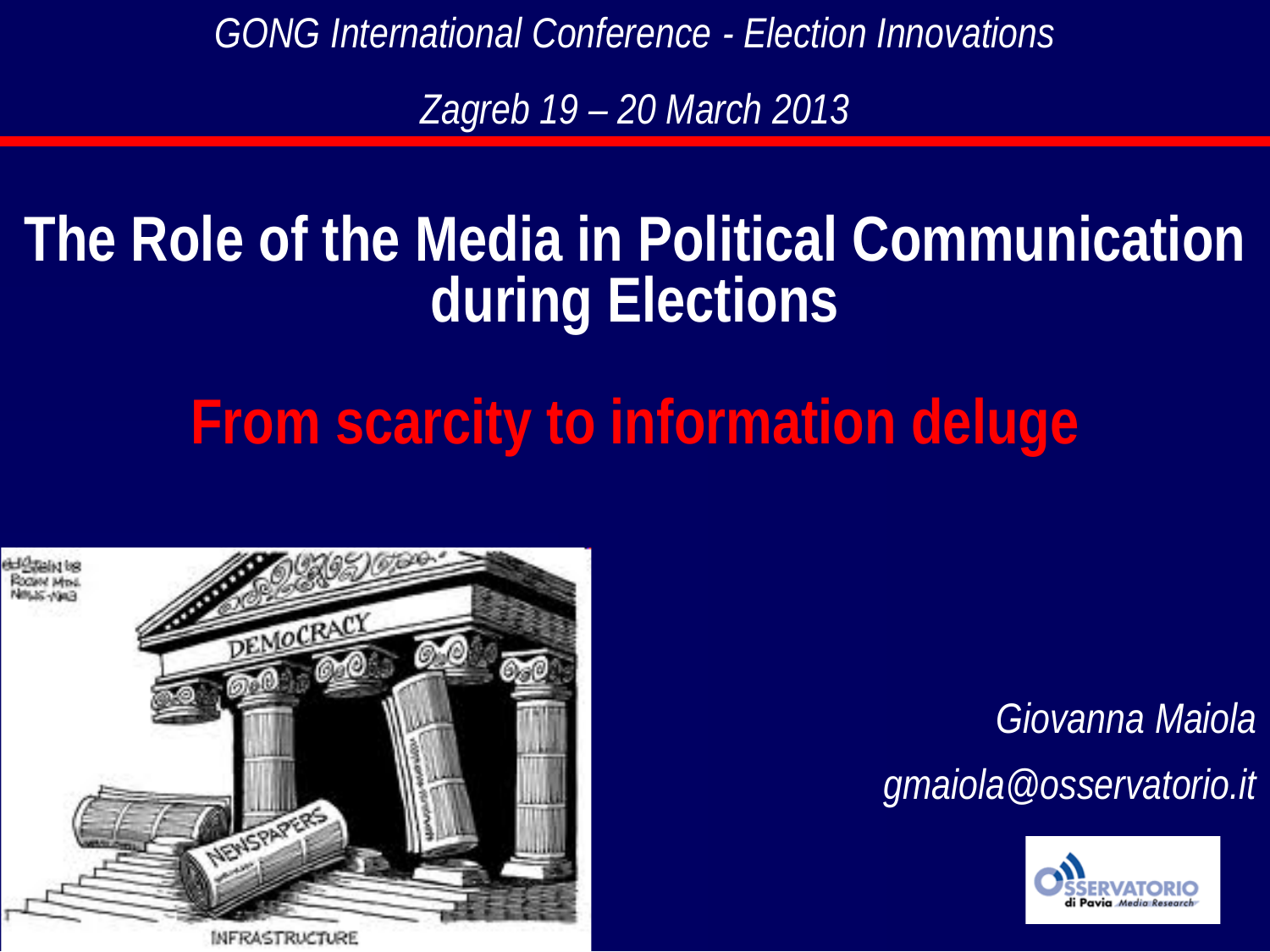*GONG International Conference - Election Innovations*

*Zagreb 19 – 20 March 2013*

## **The Role of the Media in Political Communication during Elections**

# **From scarcity to information deluge**



MFRASTRUCTURE

#### *Giovanna Maiola*

*gmaiola@osservatorio.it*

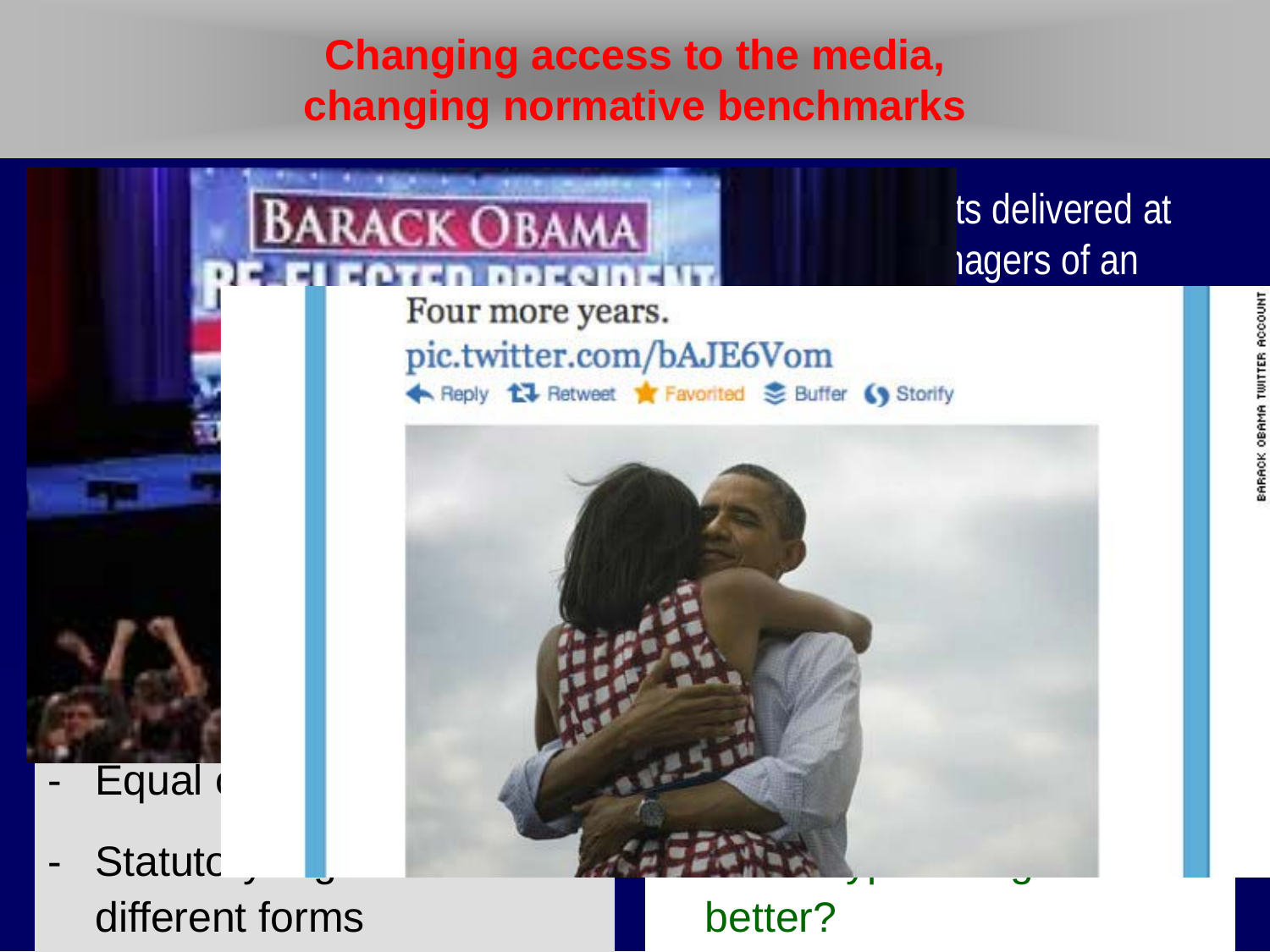#### **Changing access to the media, changing normative benchmarks**



different forms

better?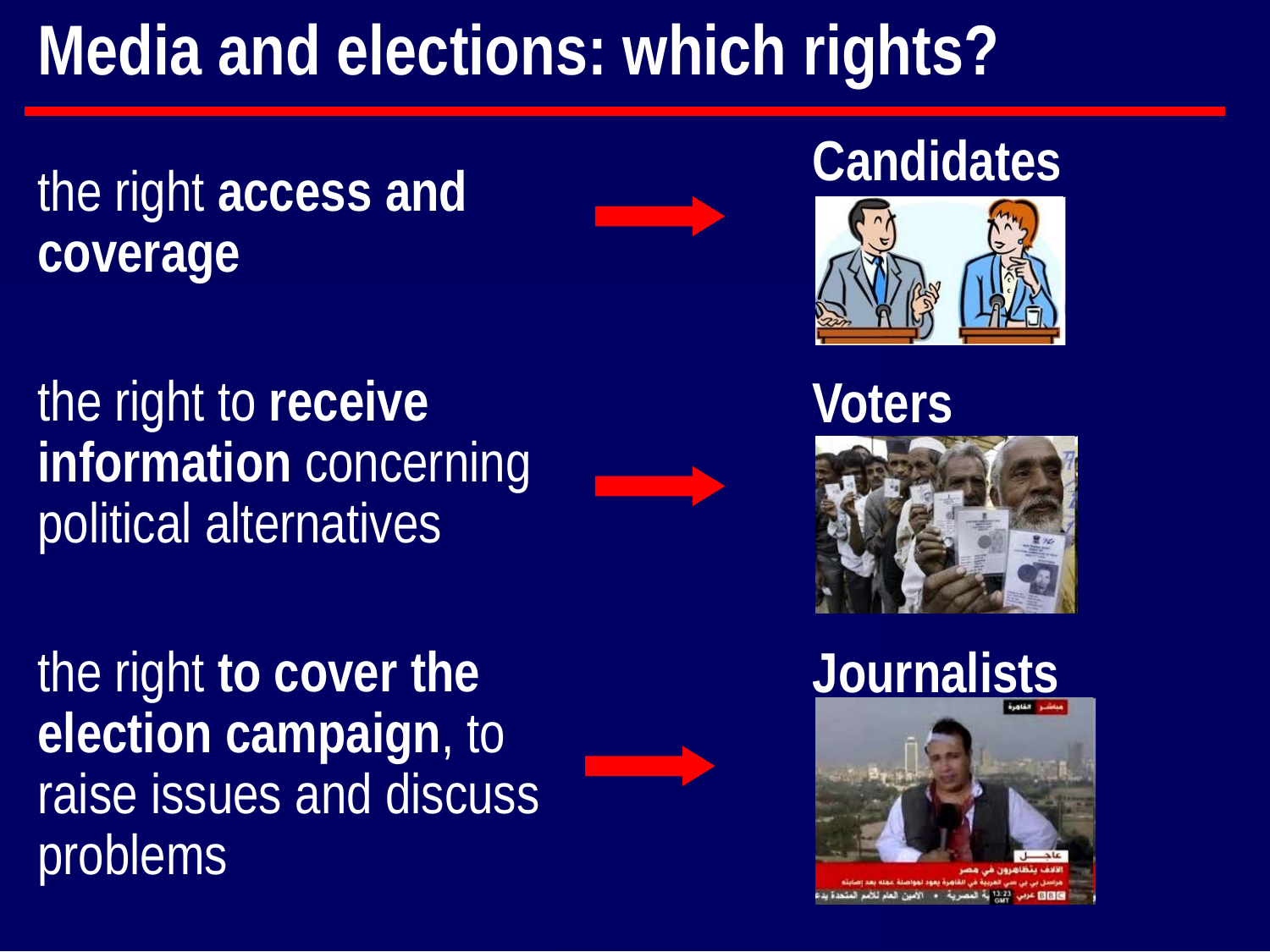# **Media and elections: which rights?**

#### the right **access and coverage**

the right to **receive information** concerning political alternatives

**Candidates**



**Voters**



the right **to cover the election campaign**, to raise issues and discuss problems





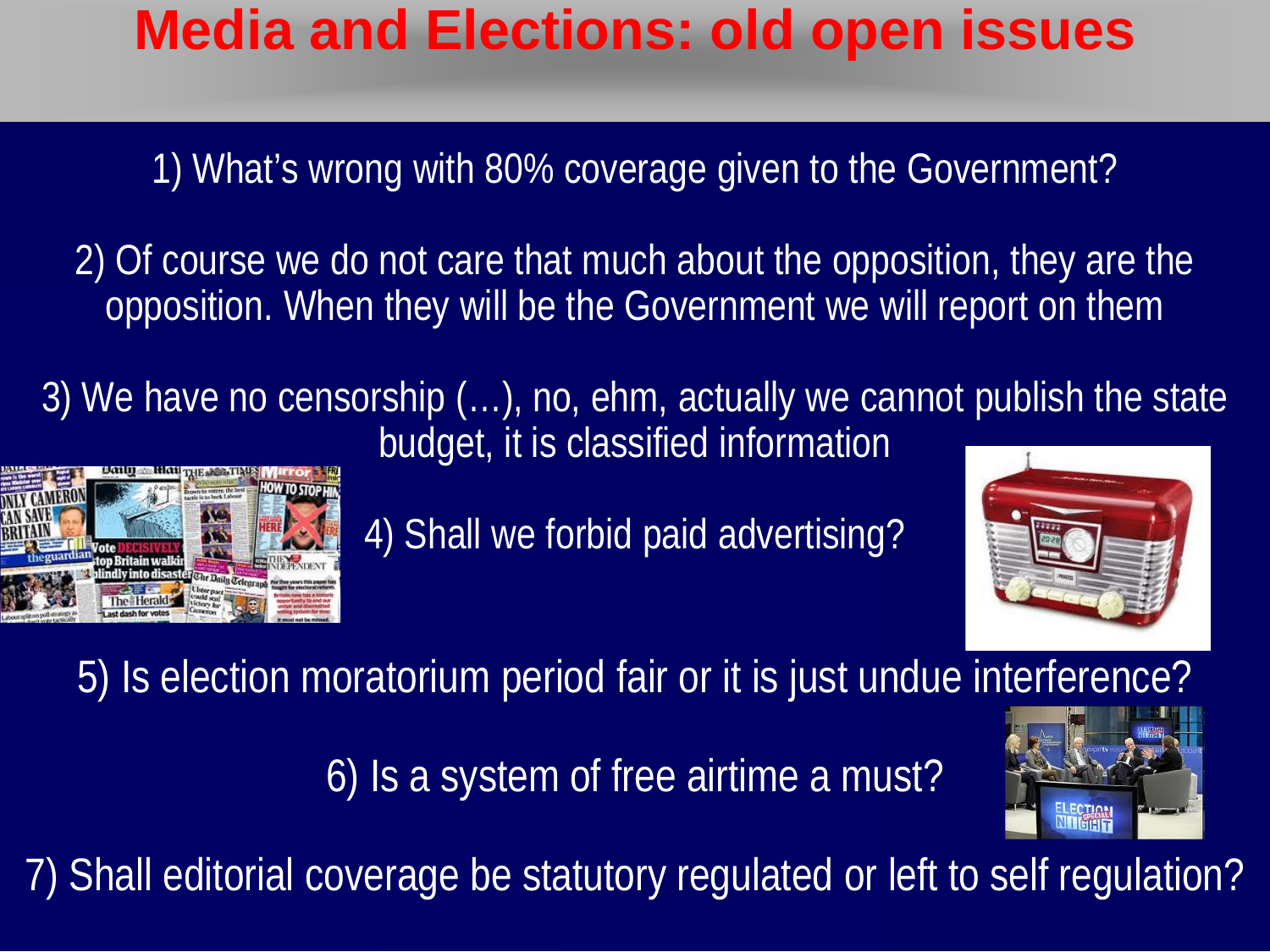#### **Media and Elections: old open issues**

1) What's wrong with 80% coverage given to the Government?

2) Of course we do not care that much about the opposition, they are the opposition. When they will be the Government we will report on them

3) We have no censorship (…), no, ehm, actually we cannot publish the state budget, it is classified information



4) Shall we forbid paid advertising?



5) Is election moratorium period fair or it is just undue interference?

6) Is a system of free airtime a must?



7) Shall editorial coverage be statutory regulated or left to self regulation?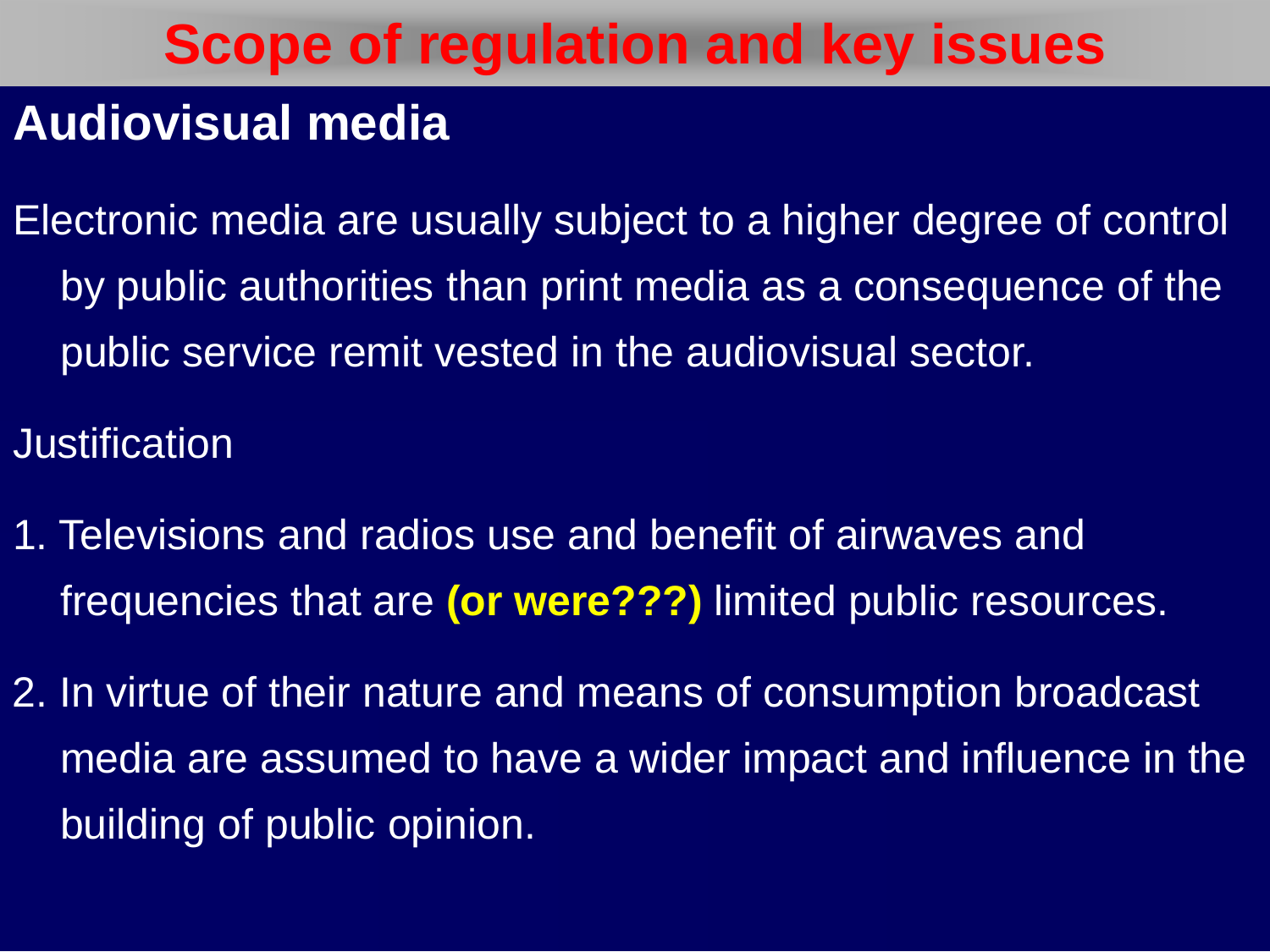#### **Audiovisual media**

Electronic media are usually subject to a higher degree of control by public authorities than print media as a consequence of the public service remit vested in the audiovisual sector.

**Justification** 

- 1. Televisions and radios use and benefit of airwaves and frequencies that are **(or were???)** limited public resources.
- 2. In virtue of their nature and means of consumption broadcast media are assumed to have a wider impact and influence in the building of public opinion.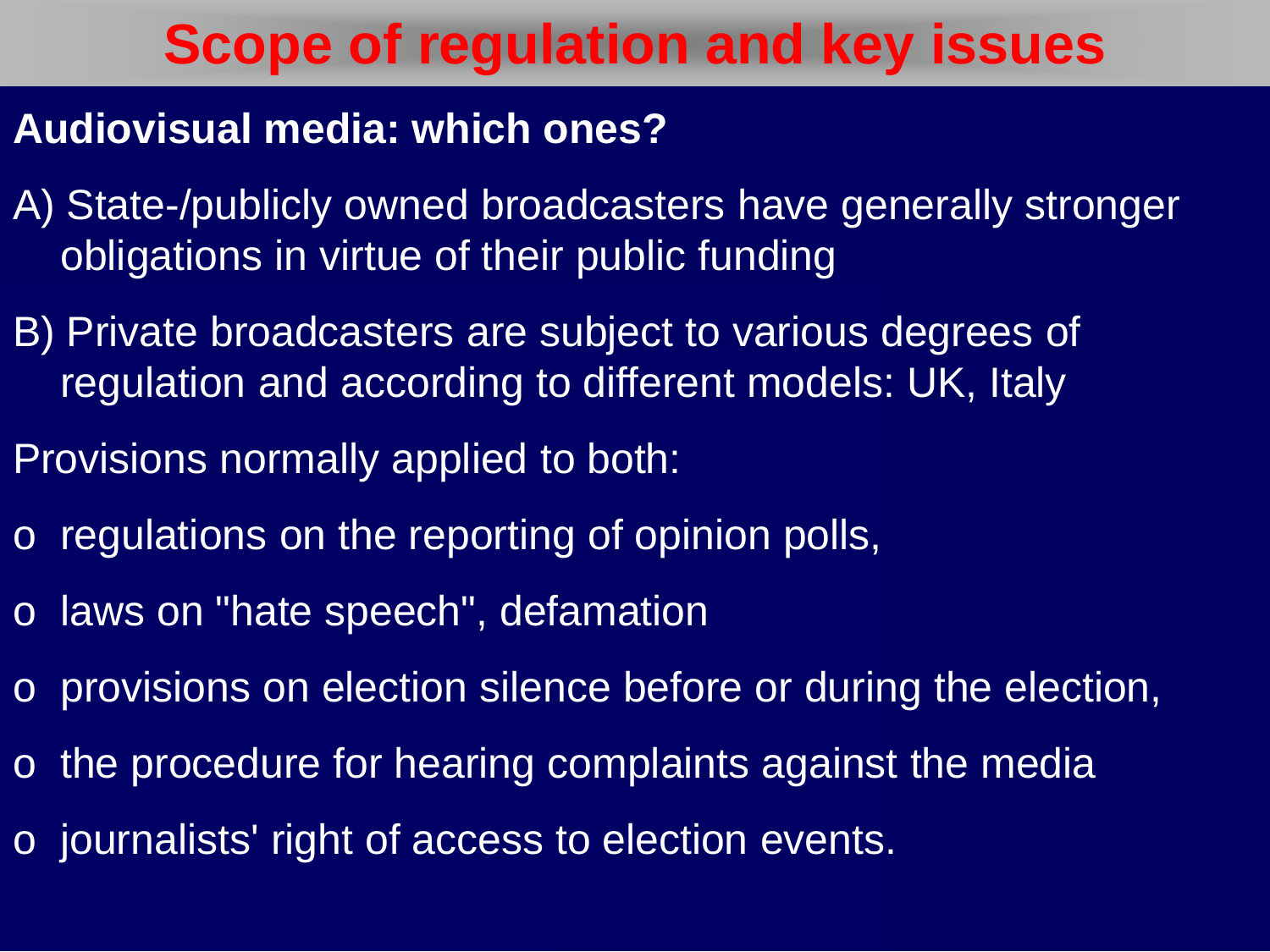#### **Audiovisual media: which ones?**

- A) State-/publicly owned broadcasters have generally stronger obligations in virtue of their public funding
- B) Private broadcasters are subject to various degrees of regulation and according to different models: UK, Italy
- Provisions normally applied to both:
- o regulations on the reporting of opinion polls,
- o laws on "hate speech", defamation
- o provisions on election silence before or during the election,
- o the procedure for hearing complaints against the media
- o journalists' right of access to election events.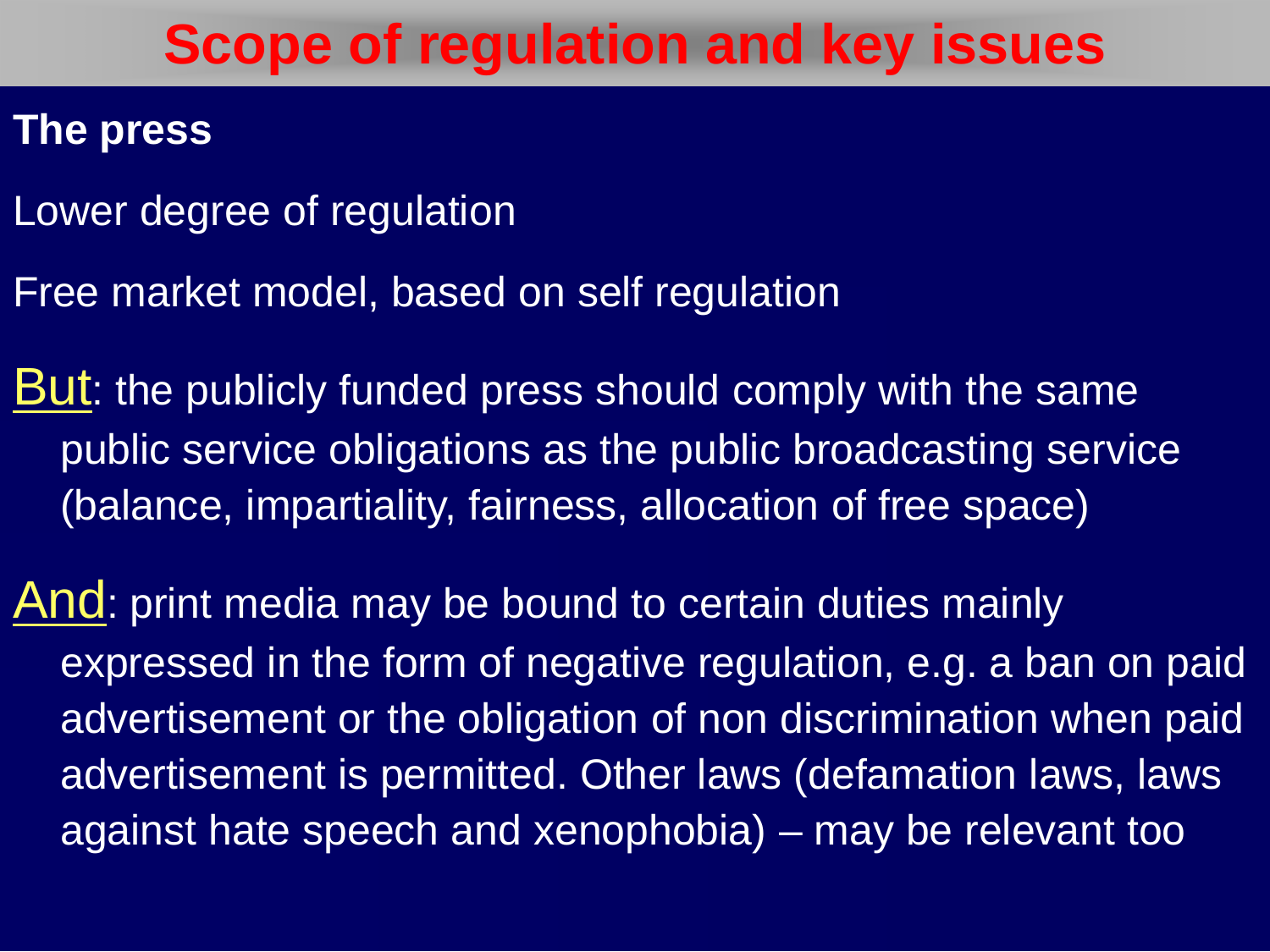#### **The press**

- Lower degree of regulation
- Free market model, based on self regulation
- But: the publicly funded press should comply with the same public service obligations as the public broadcasting service (balance, impartiality, fairness, allocation of free space)
- And: print media may be bound to certain duties mainly expressed in the form of negative regulation, e.g. a ban on paid advertisement or the obligation of non discrimination when paid advertisement is permitted. Other laws (defamation laws, laws against hate speech and xenophobia) – may be relevant too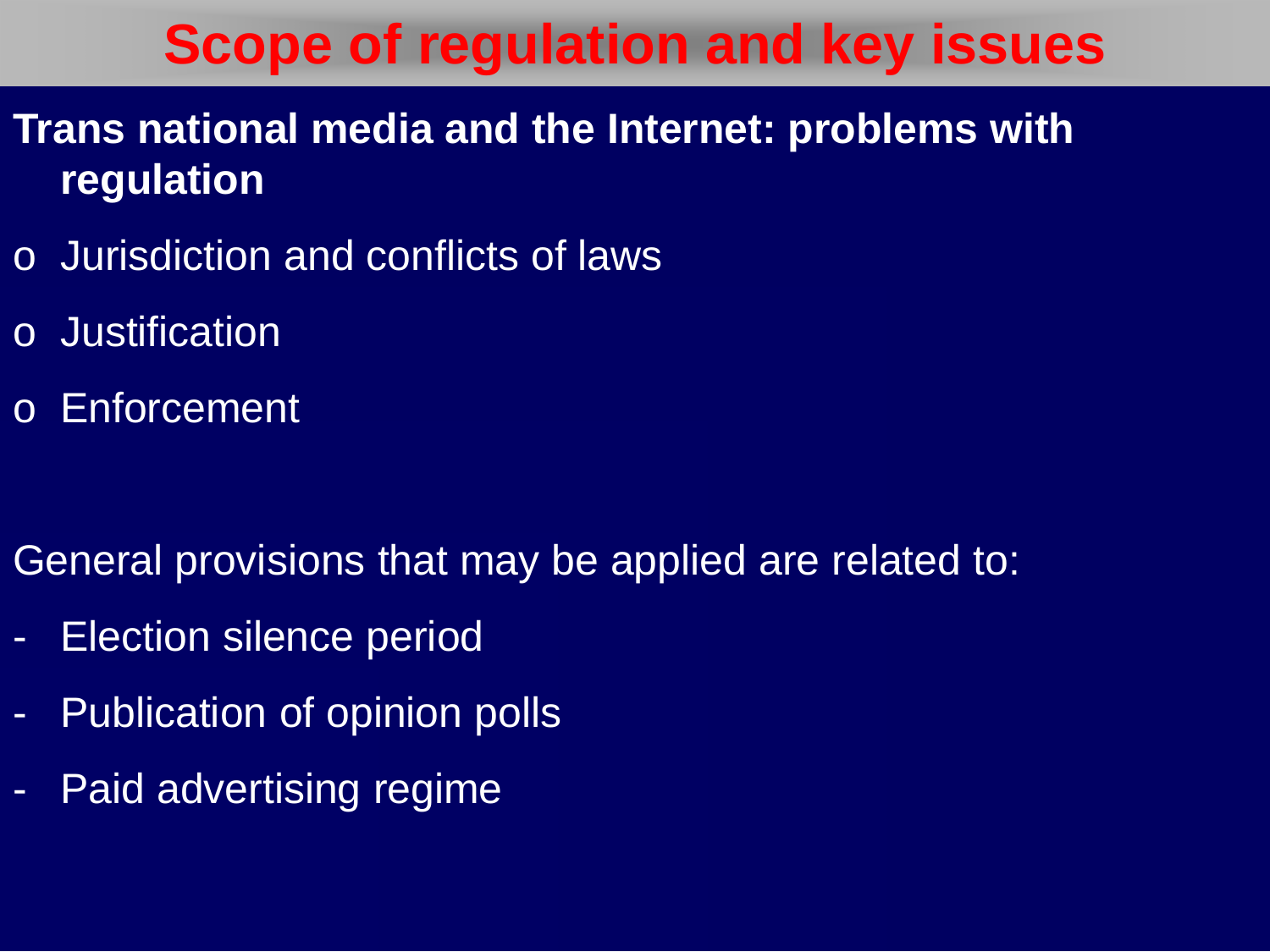- **Trans national media and the Internet: problems with regulation**
- o Jurisdiction and conflicts of laws
- o Justification
- o Enforcement

General provisions that may be applied are related to:

- Election silence period
- Publication of opinion polls
- Paid advertising regime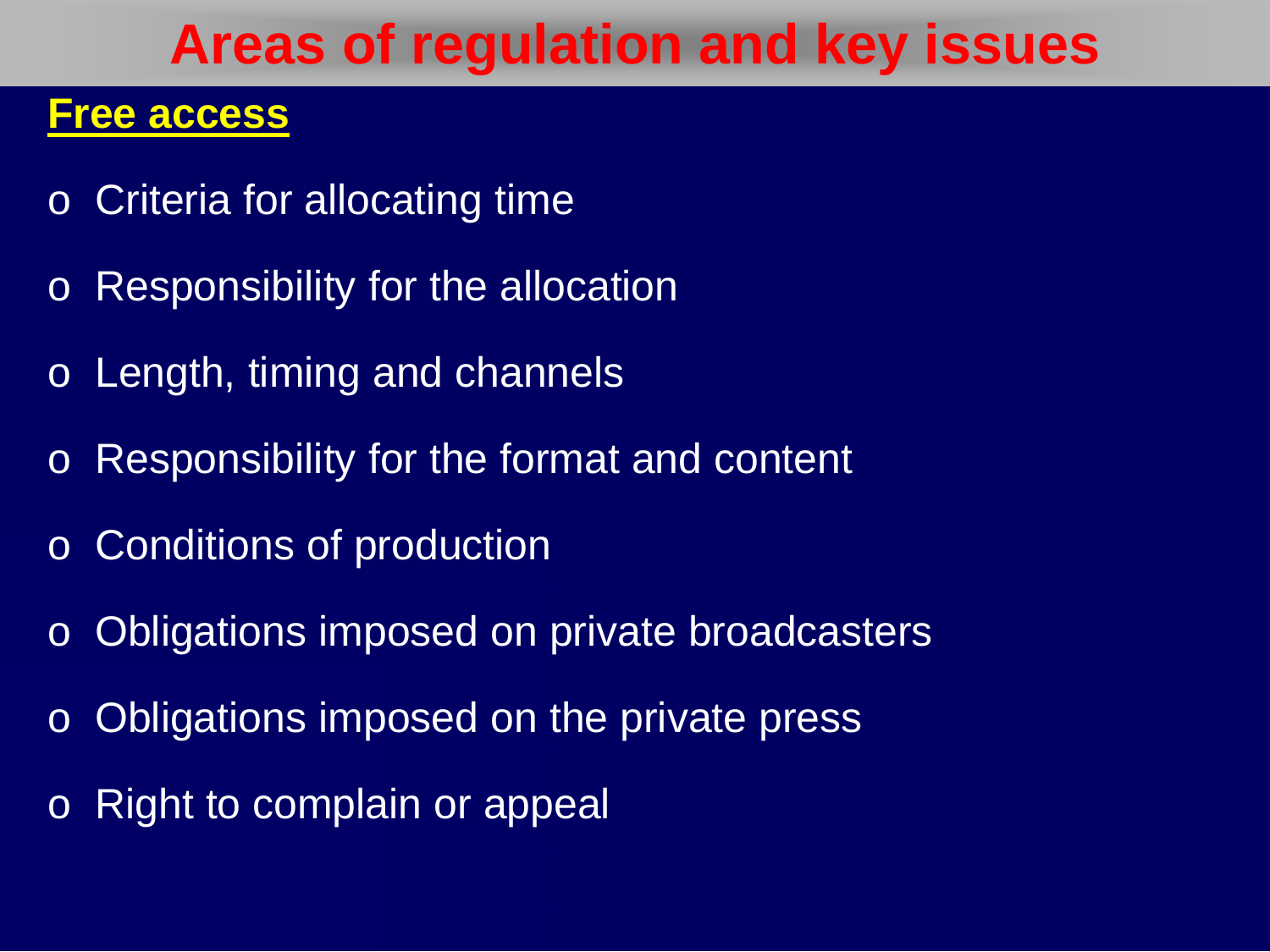#### **Areas of regulation and key issues**

#### **Free access**

- o Criteria for allocating time
- o Responsibility for the allocation
- o Length, timing and channels
- o Responsibility for the format and content
- o Conditions of production
- o Obligations imposed on private broadcasters
- o Obligations imposed on the private press
- o Right to complain or appeal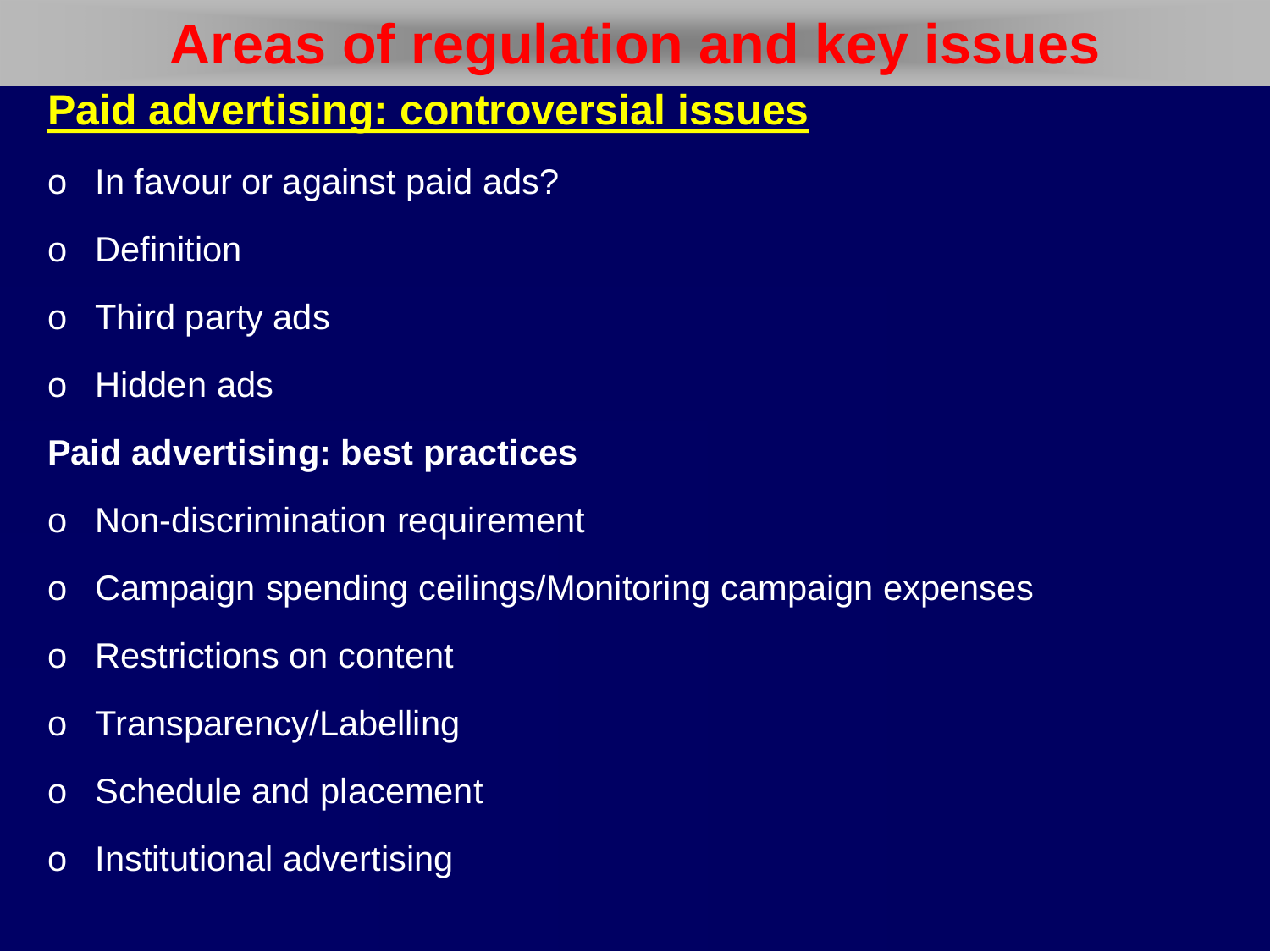#### **Areas of regulation and key issues**

#### **Paid advertising: controversial issues**

- o In favour or against paid ads?
- o Definition
- o Third party ads
- o Hidden ads

#### **Paid advertising: best practices**

- o Non-discrimination requirement
- o Campaign spending ceilings/Monitoring campaign expenses
- o Restrictions on content
- o Transparency/Labelling
- o Schedule and placement
- o Institutional advertising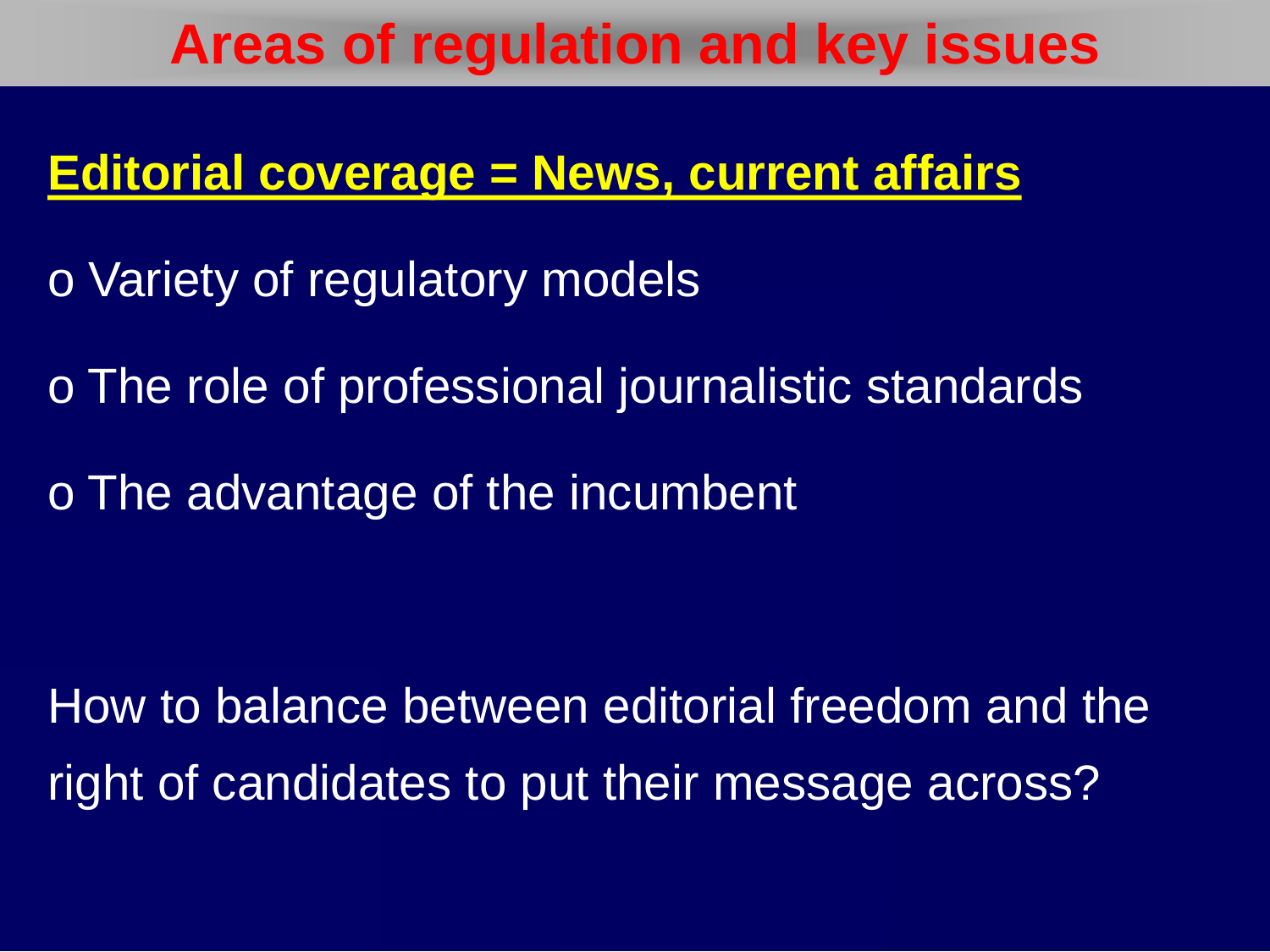#### **Areas of regulation and key issues**

#### **Editorial coverage = News, current affairs**

- o Variety of regulatory models
- o The role of professional journalistic standards
- o The advantage of the incumbent

How to balance between editorial freedom and the right of candidates to put their message across?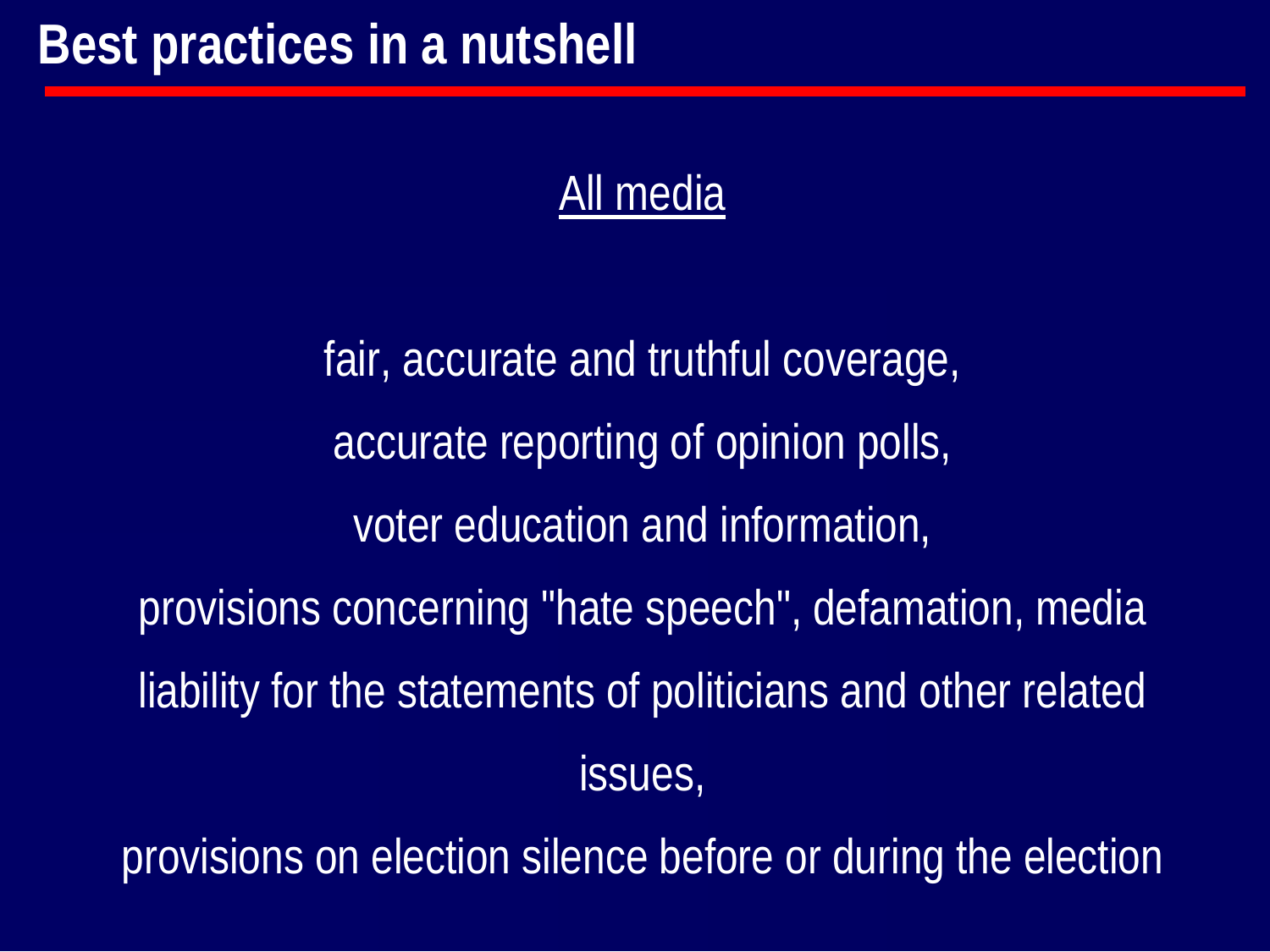#### All media

fair, accurate and truthful coverage, accurate reporting of opinion polls, voter education and information, provisions concerning "hate speech", defamation, media liability for the statements of politicians and other related issues,

provisions on election silence before or during the election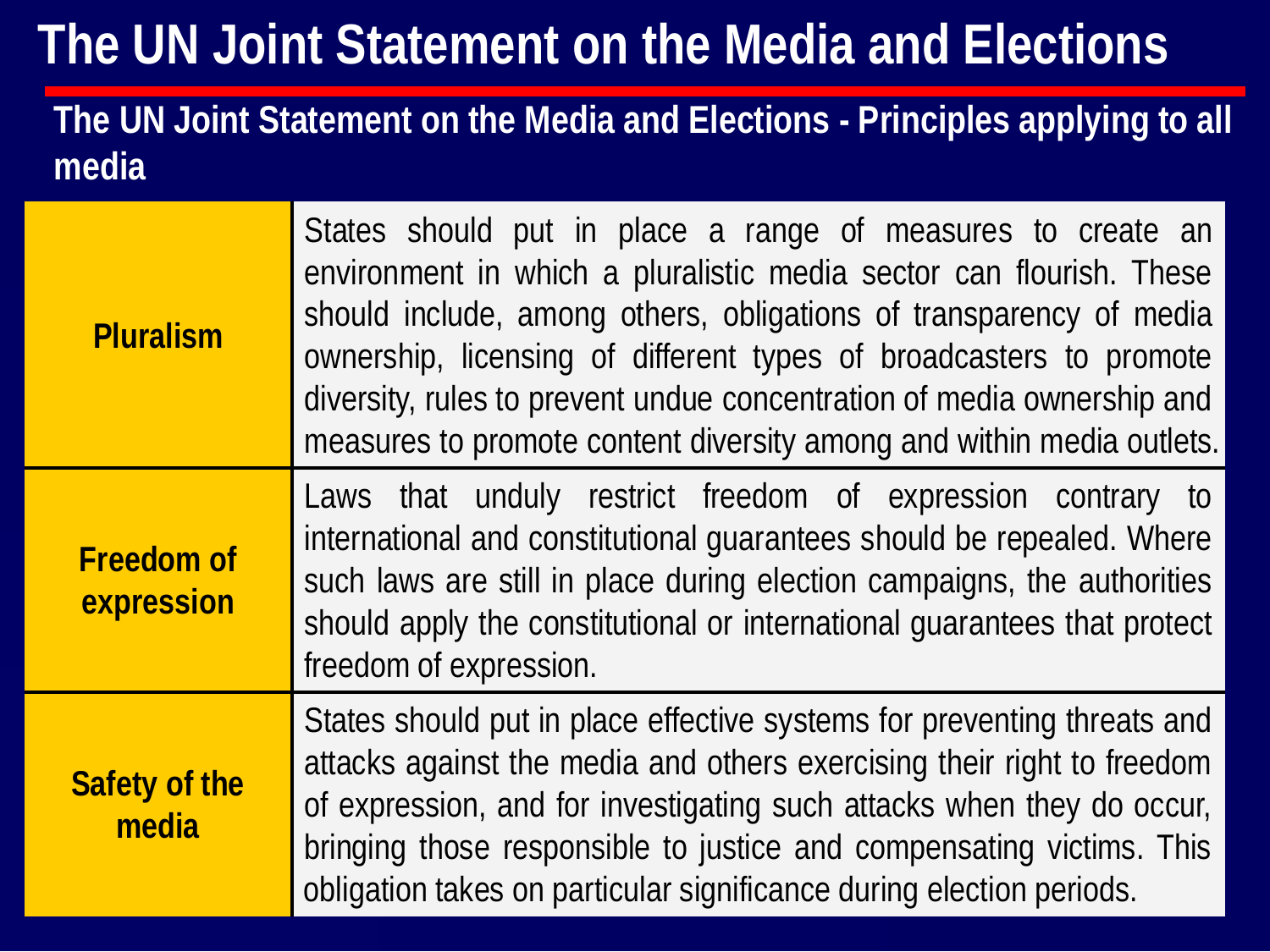#### **The UN Joint Statement on the Media and Elections - Principles applying to all media**

| <b>Pluralism</b>                | States should put in place a range of measures to create an<br>environment in which a pluralistic media sector can flourish. These<br>should include, among others, obligations of transparency of media<br>ownership, licensing of different types of broadcasters to promote<br>diversity, rules to prevent undue concentration of media ownership and<br>measures to promote content diversity among and within media outlets. |
|---------------------------------|-----------------------------------------------------------------------------------------------------------------------------------------------------------------------------------------------------------------------------------------------------------------------------------------------------------------------------------------------------------------------------------------------------------------------------------|
| <b>Freedom of</b><br>expression | Laws that unduly restrict freedom of expression contrary to<br>international and constitutional guarantees should be repealed. Where<br>such laws are still in place during election campaigns, the authorities<br>should apply the constitutional or international quarantees that protect<br>freedom of expression.                                                                                                             |
| <b>Safety of the</b><br>media   | States should put in place effective systems for preventing threats and<br>attacks against the media and others exercising their right to freedom<br>of expression, and for investigating such attacks when they do occur,<br>bringing those responsible to justice and compensating victims. This<br>obligation takes on particular significance during election periods.                                                        |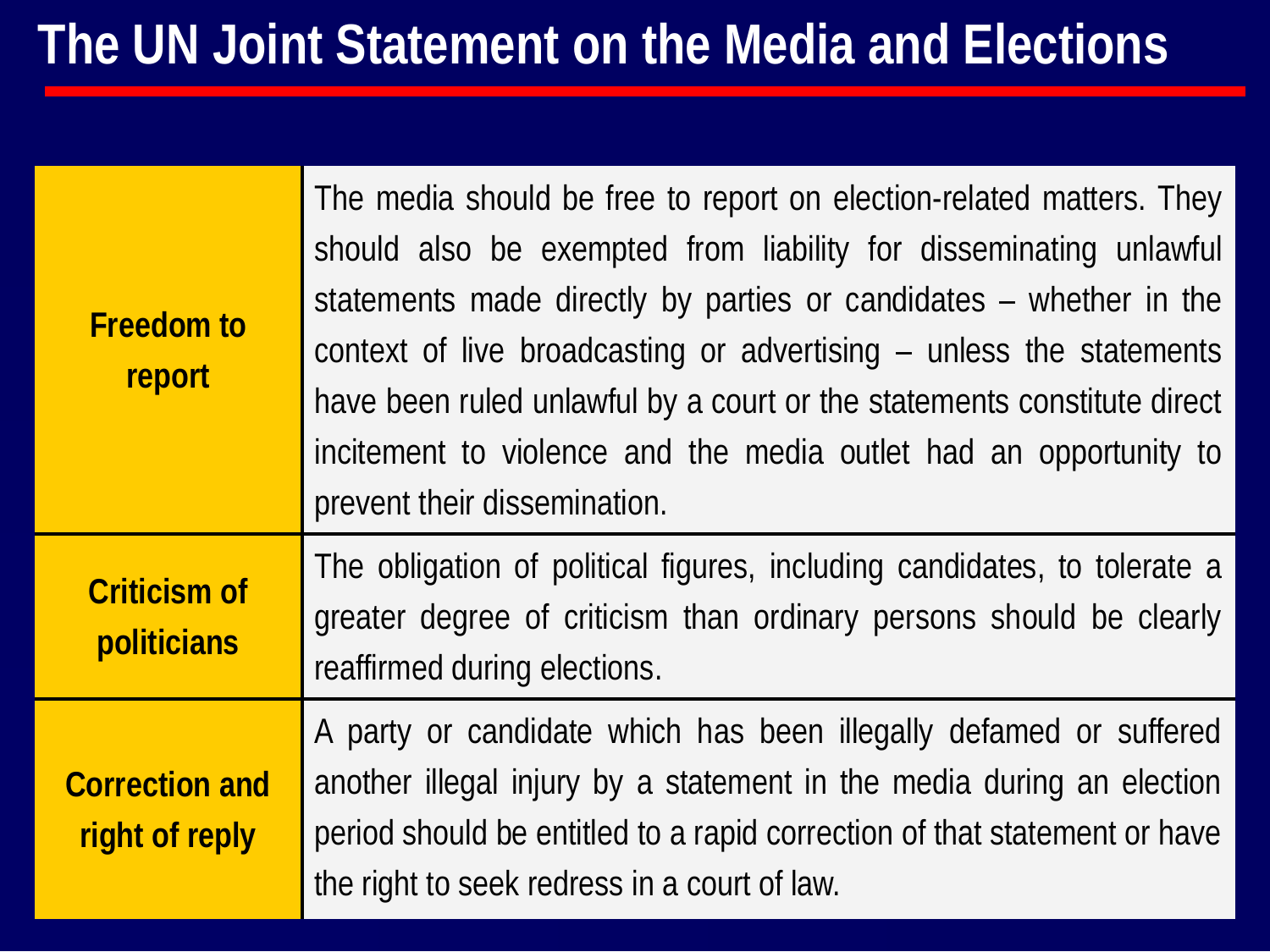| <b>Freedom to</b><br>report             | The media should be free to report on election-related matters. They<br>should also be exempted from liability for disseminating unlawful<br>statements made directly by parties or candidates – whether in the<br>context of live broadcasting or advertising – unless the statements<br>have been ruled unlawful by a court or the statements constitute direct<br>incitement to violence and the media outlet had an opportunity to<br>prevent their dissemination. |
|-----------------------------------------|------------------------------------------------------------------------------------------------------------------------------------------------------------------------------------------------------------------------------------------------------------------------------------------------------------------------------------------------------------------------------------------------------------------------------------------------------------------------|
| <b>Criticism of</b><br>politicians      | The obligation of political figures, including candidates, to tolerate a<br>greater degree of criticism than ordinary persons should be clearly<br>reaffirmed during elections.                                                                                                                                                                                                                                                                                        |
| <b>Correction and</b><br>right of reply | A party or candidate which has been illegally defamed or suffered<br>another illegal injury by a statement in the media during an election<br>period should be entitled to a rapid correction of that statement or have<br>the right to seek redress in a court of law.                                                                                                                                                                                                |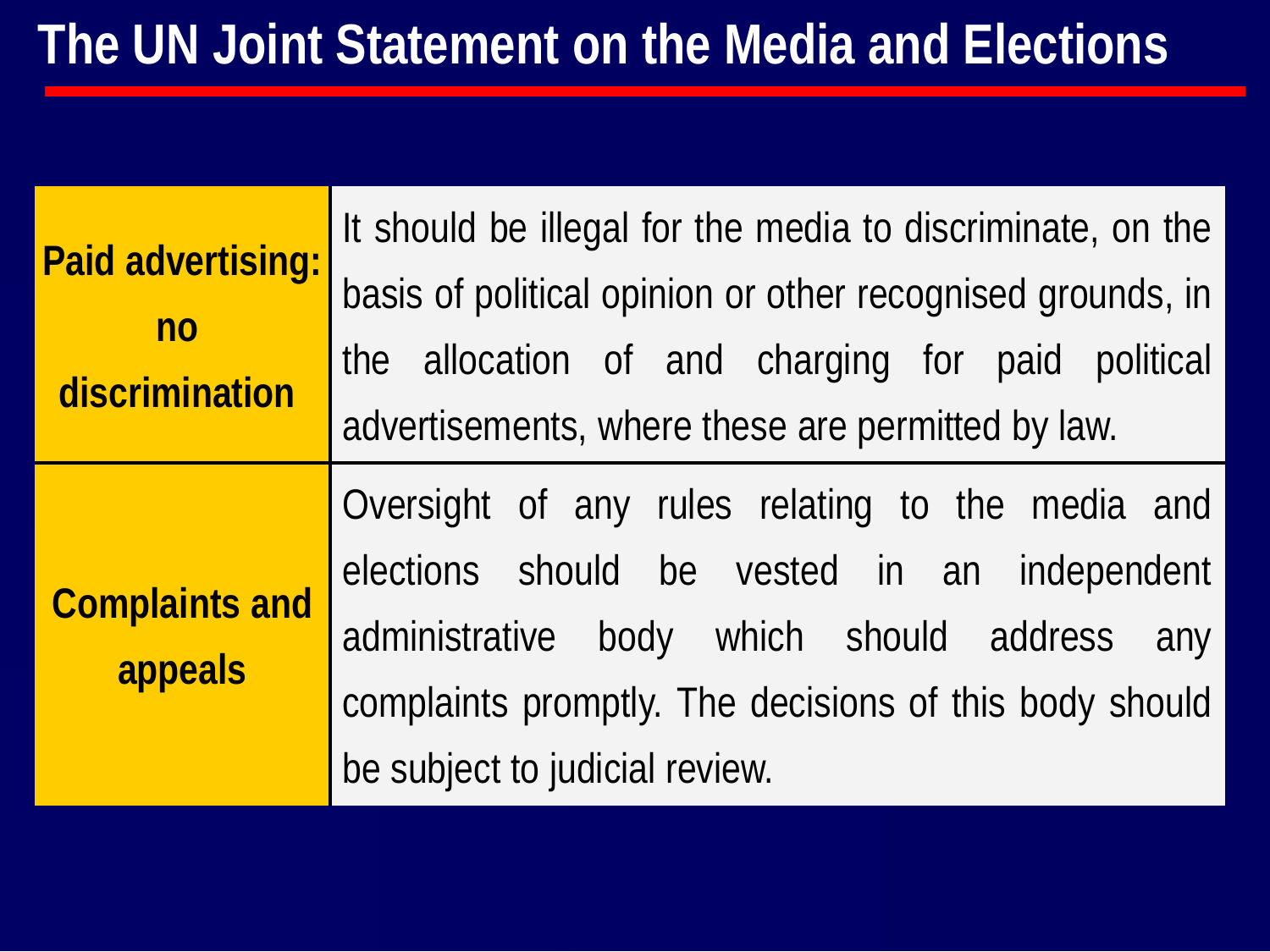| <b>Paid advertising:</b><br>no<br>discrimination | It should be illegal for the media to discriminate, on the<br>basis of political opinion or other recognised grounds, in<br>the allocation of and charging for paid political<br>advertisements, where these are permitted by law. |
|--------------------------------------------------|------------------------------------------------------------------------------------------------------------------------------------------------------------------------------------------------------------------------------------|
| <b>Complaints and</b><br>appeals                 | Oversight of any rules relating to the media and<br>elections should be vested in an independent<br>administrative body which should address any<br>complaints promptly. The decisions of this body should                         |
|                                                  | be subject to judicial review.                                                                                                                                                                                                     |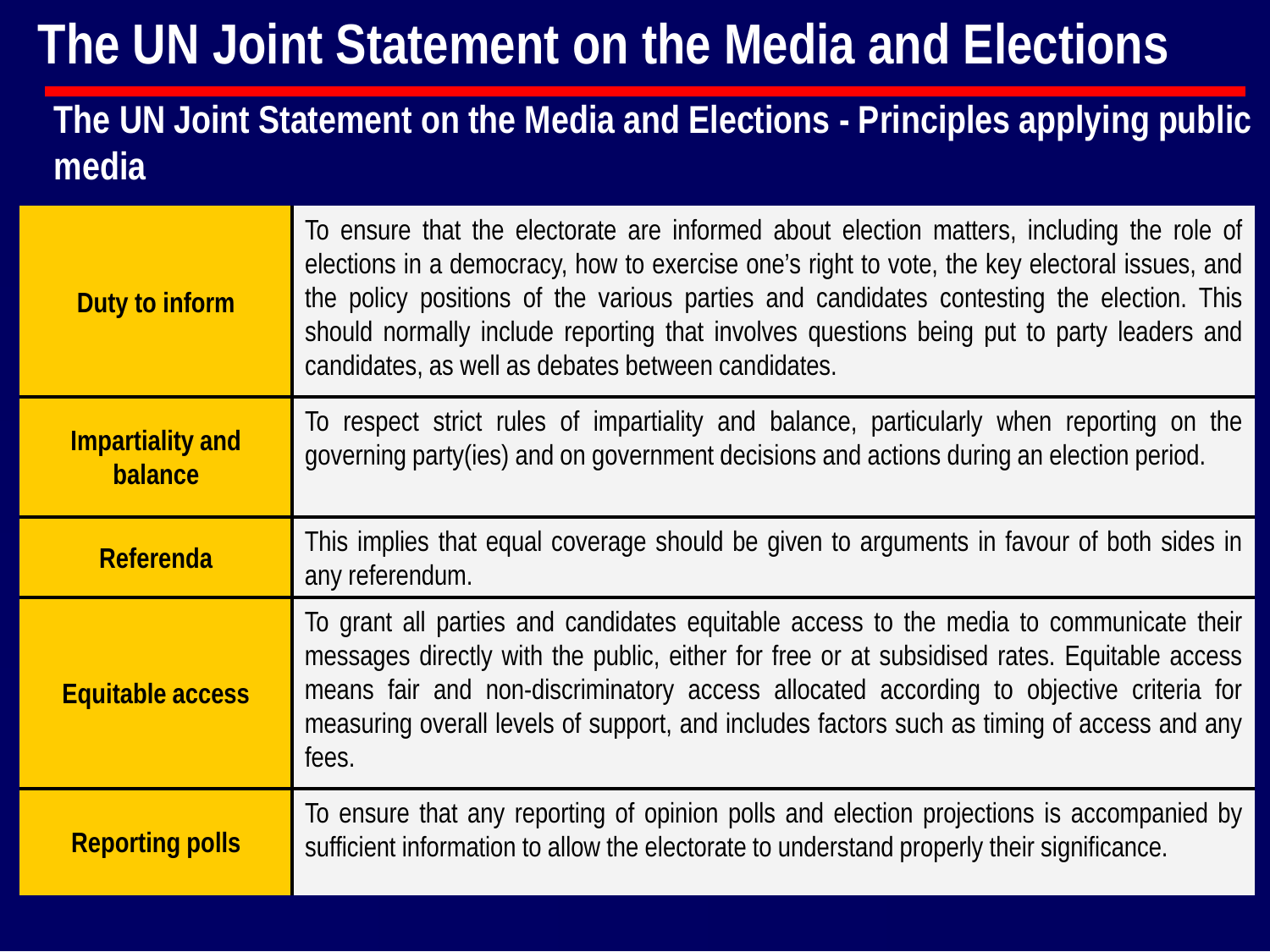#### **The UN Joint Statement on the Media and Elections - Principles applying public media**

| Duty to inform                     | To ensure that the electorate are informed about election matters, including the role of<br>elections in a democracy, how to exercise one's right to vote, the key electoral issues, and<br>the policy positions of the various parties and candidates contesting the election. This<br>should normally include reporting that involves questions being put to party leaders and<br>candidates, as well as debates between candidates. |
|------------------------------------|----------------------------------------------------------------------------------------------------------------------------------------------------------------------------------------------------------------------------------------------------------------------------------------------------------------------------------------------------------------------------------------------------------------------------------------|
| <b>Impartiality and</b><br>balance | To respect strict rules of impartiality and balance, particularly when reporting on the<br>governing party(ies) and on government decisions and actions during an election period.                                                                                                                                                                                                                                                     |
| <b>Referenda</b>                   | This implies that equal coverage should be given to arguments in favour of both sides in<br>any referendum.                                                                                                                                                                                                                                                                                                                            |
| <b>Equitable access</b>            | To grant all parties and candidates equitable access to the media to communicate their<br>messages directly with the public, either for free or at subsidised rates. Equitable access<br>means fair and non-discriminatory access allocated according to objective criteria for<br>measuring overall levels of support, and includes factors such as timing of access and any<br>fees.                                                 |
| <b>Reporting polls</b>             | To ensure that any reporting of opinion polls and election projections is accompanied by<br>sufficient information to allow the electorate to understand properly their significance.                                                                                                                                                                                                                                                  |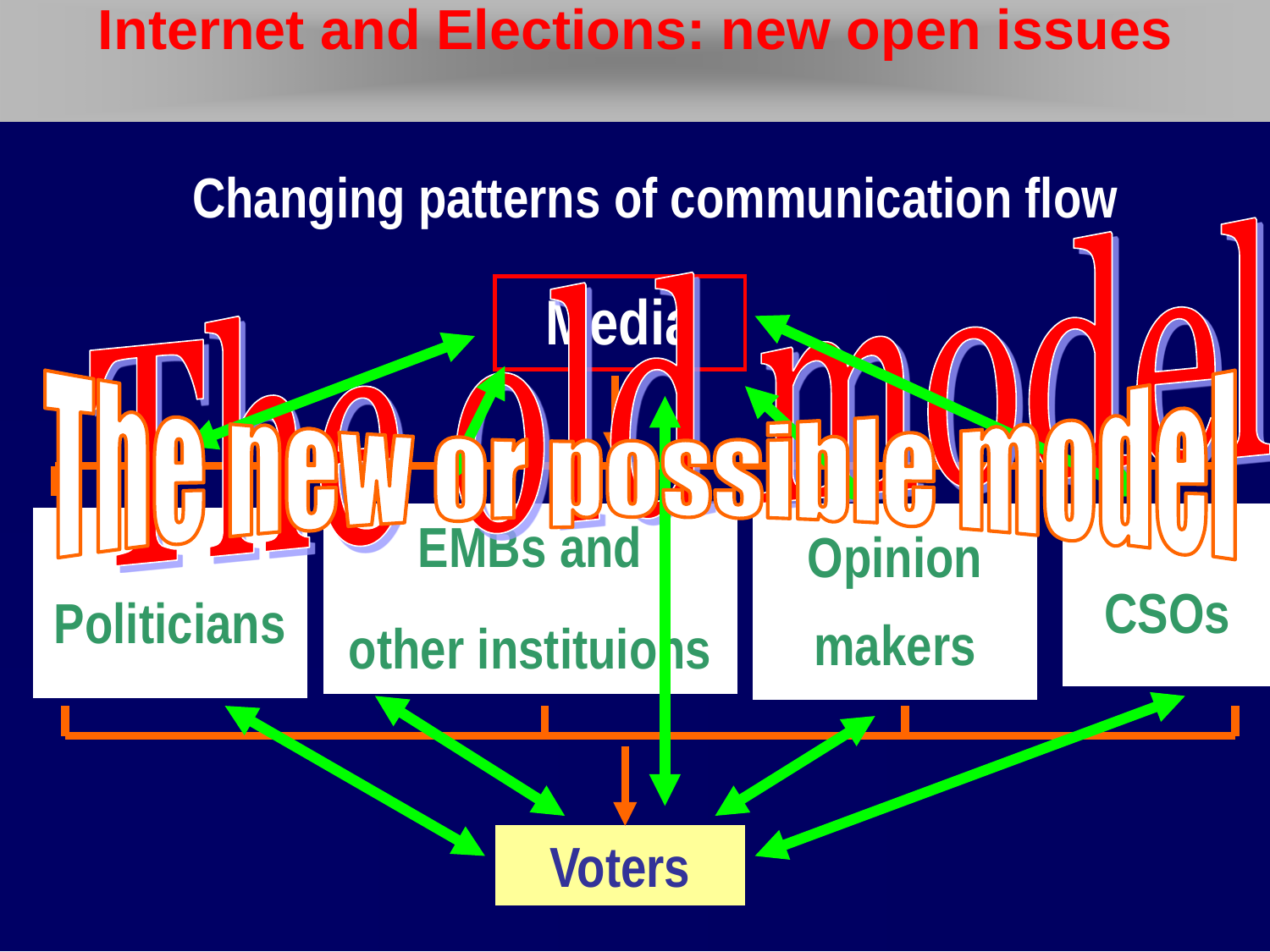#### **Internet and Elections: new open issues**

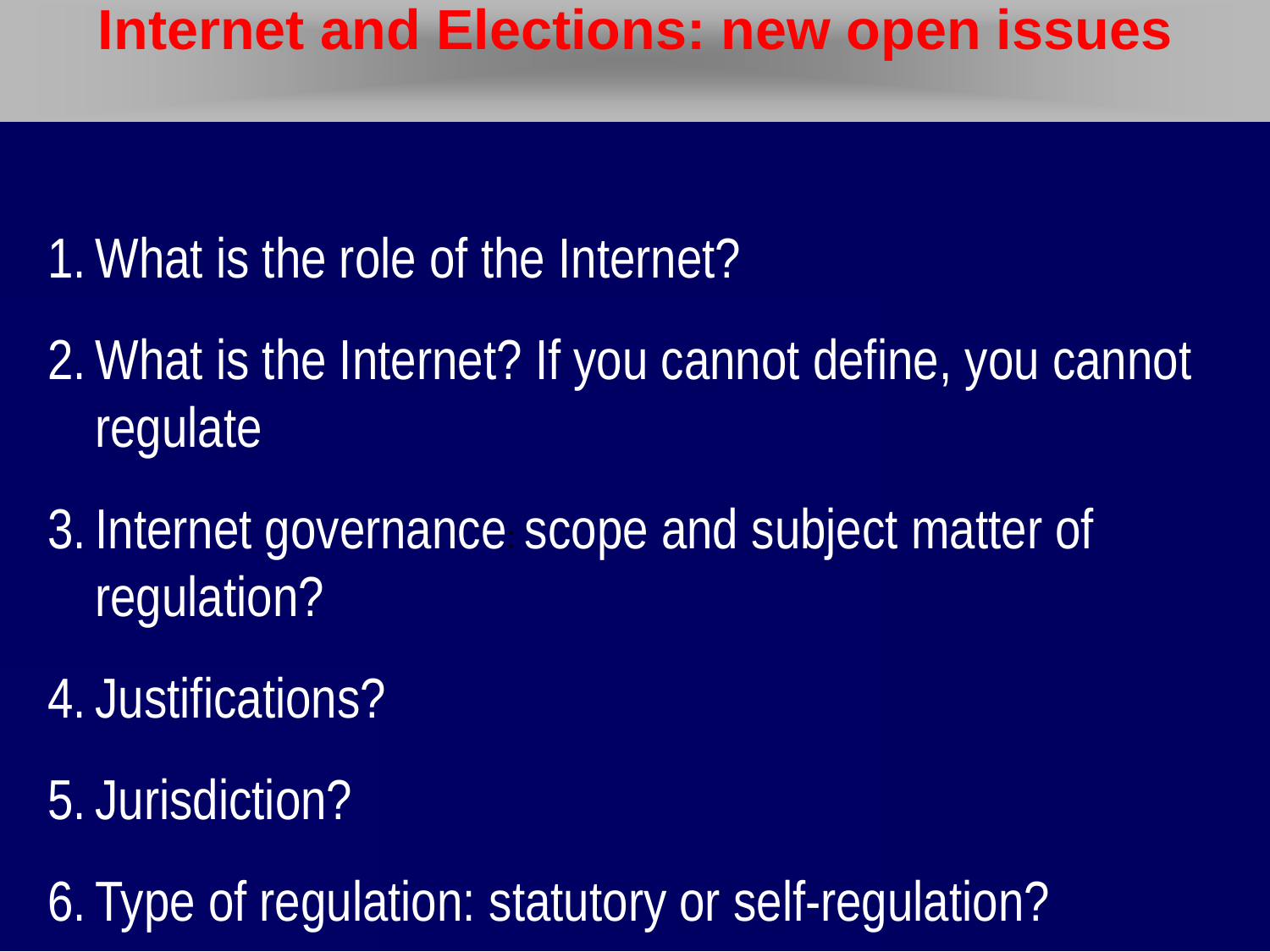#### **Internet and Elections: new open issues**

- 1. What is the role of the Internet?
- 2. What is the Internet? If you cannot define, you cannot regulate
- 3. Internet governance: scope and subject matter of regulation?
- 4. Justifications?
- 5. Jurisdiction?
- 6. Type of regulation: statutory or self-regulation?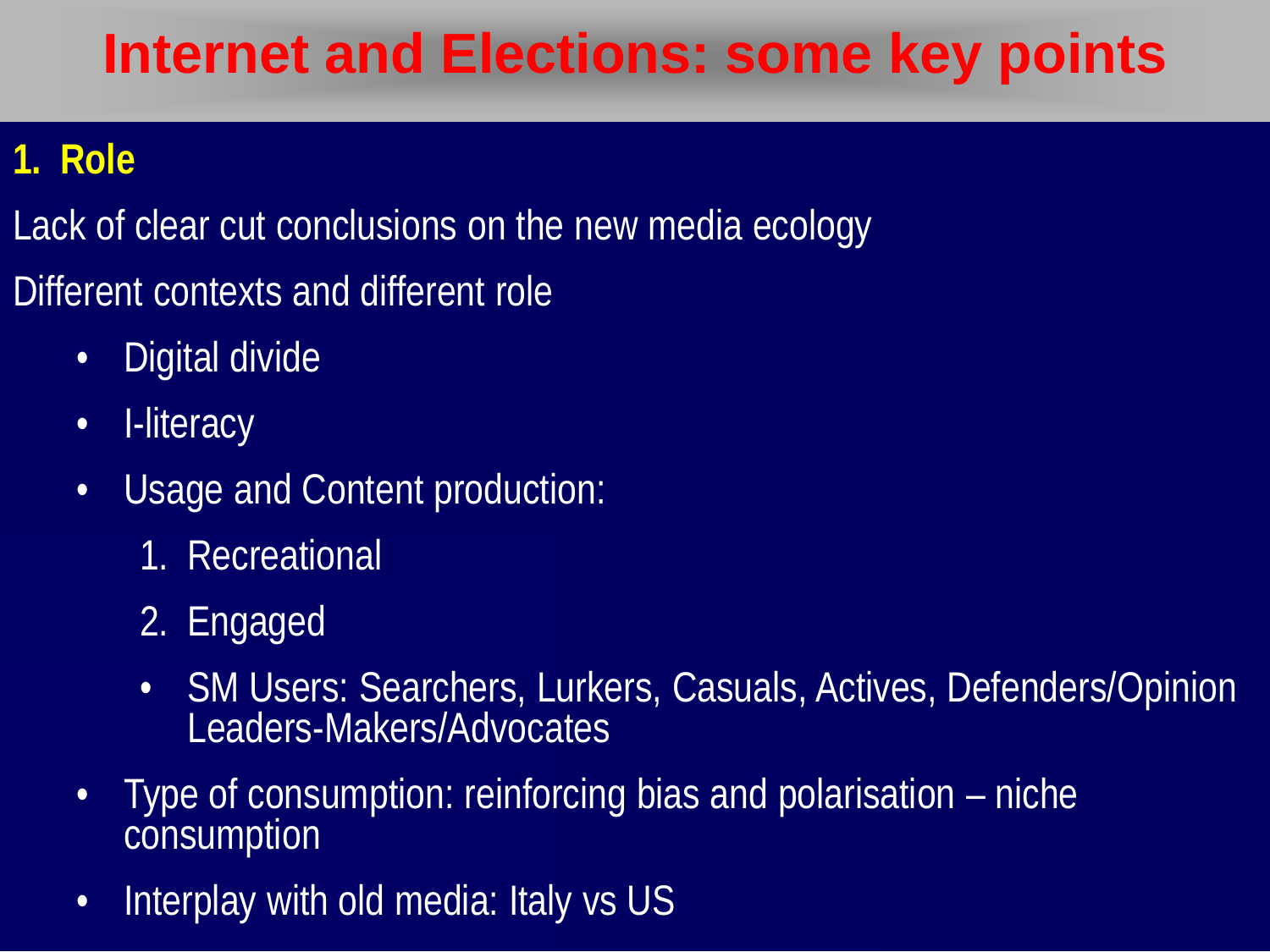#### **1. Role**

- Lack of clear cut conclusions on the new media ecology
- Different contexts and different role
	- Digital divide
	- I-literacy
	- Usage and Content production:
		- 1. Recreational
		- 2. Engaged
		- SM Users: Searchers, Lurkers, Casuals, Actives, Defenders/Opinion Leaders-Makers/Advocates
	- Type of consumption: reinforcing bias and polarisation niche consumption
	- Interplay with old media: Italy vs US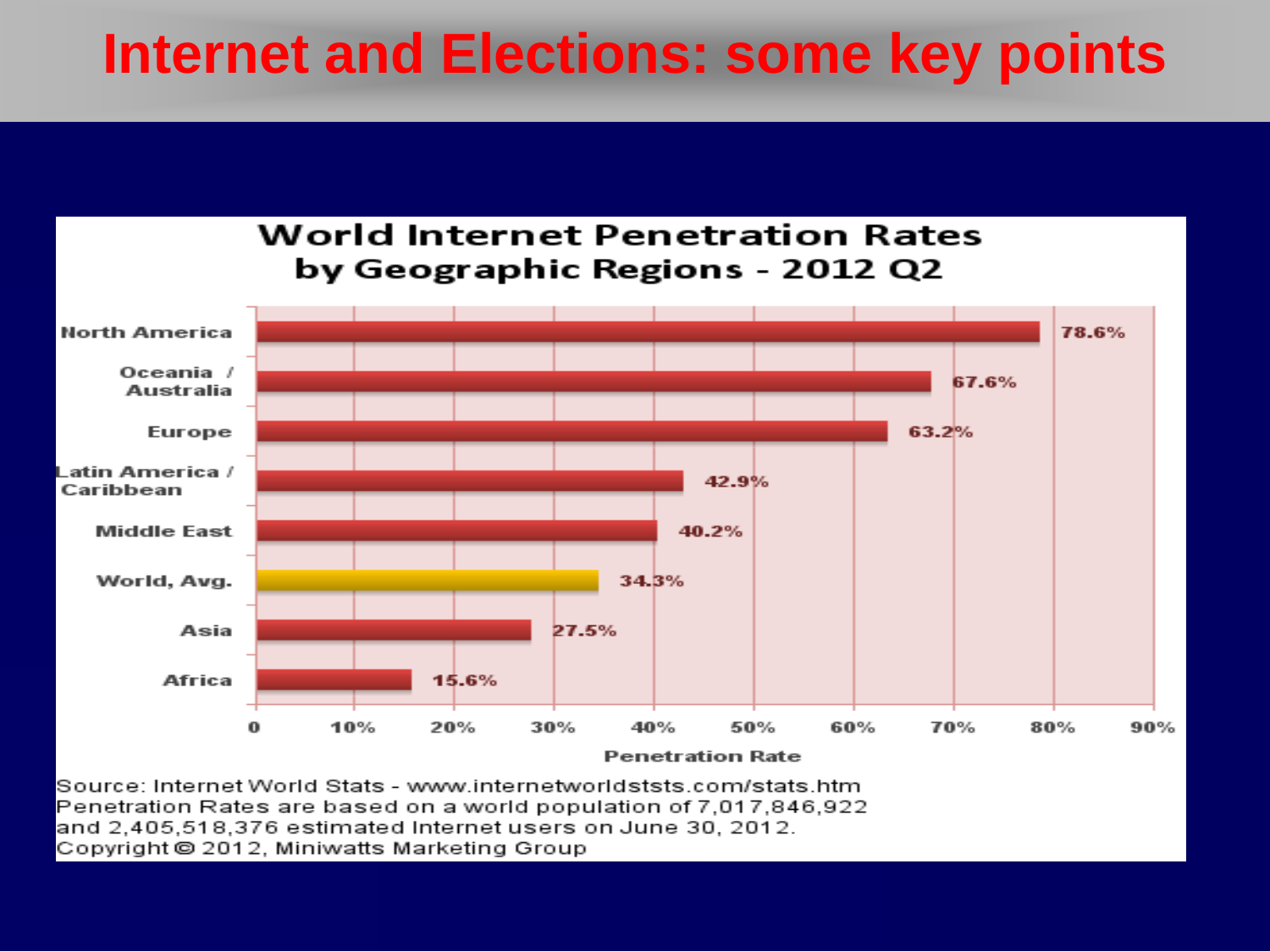

Source: Internet World Stats - www.internetworldststs.com/stats.htm Penetration Rates are based on a world population of 7,017,846,922 and 2,405,518,376 estimated Internet users on June 30, 2012. Copyright © 2012, Miniwatts Marketing Group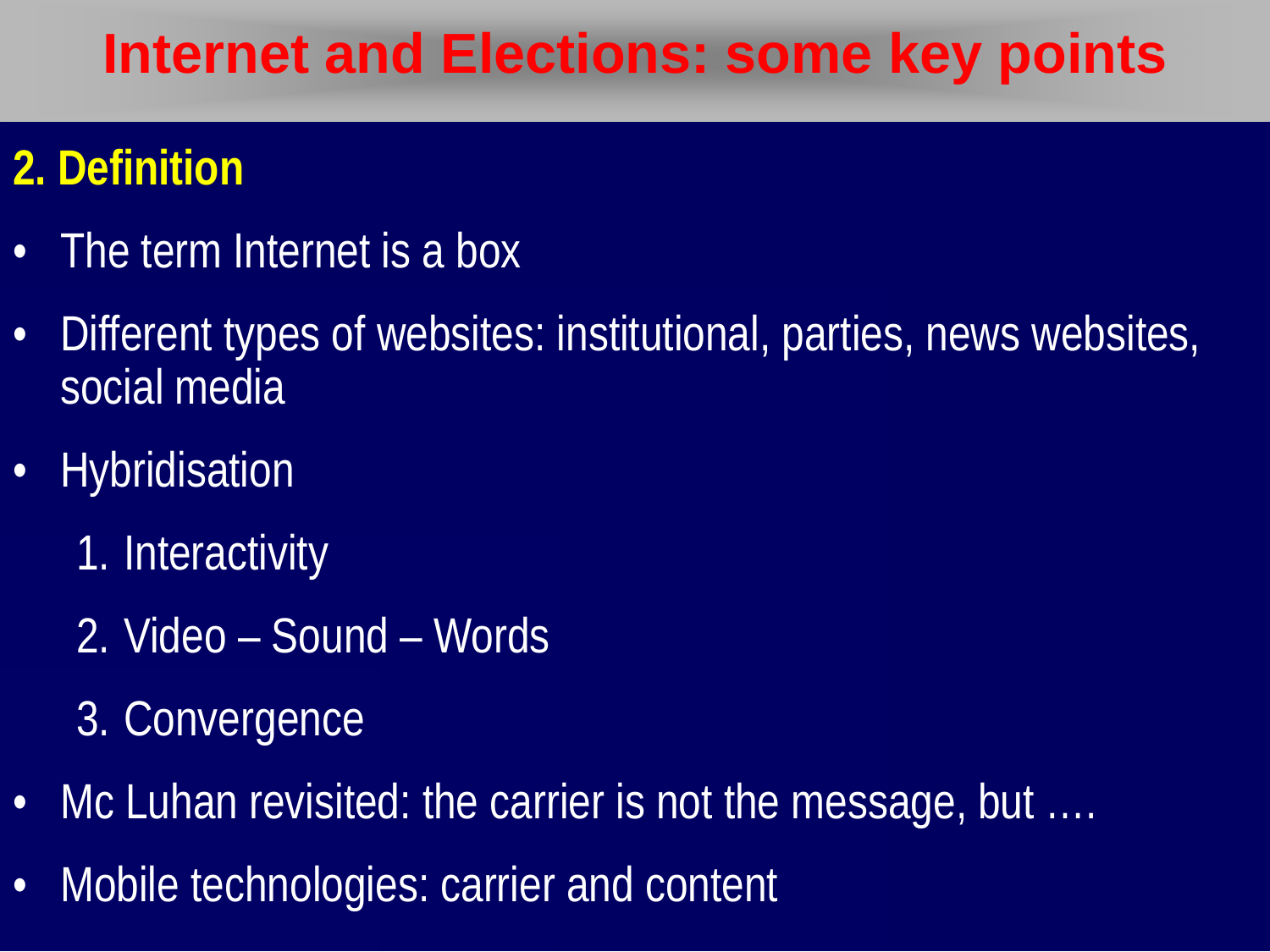#### **2. Definition**

- The term Internet is a box
- Different types of websites: institutional, parties, news websites, social media
- Hybridisation
	- 1. Interactivity
	- 2. Video Sound Words
	- 3. Convergence
- Mc Luhan revisited: the carrier is not the message, but ....
- Mobile technologies: carrier and content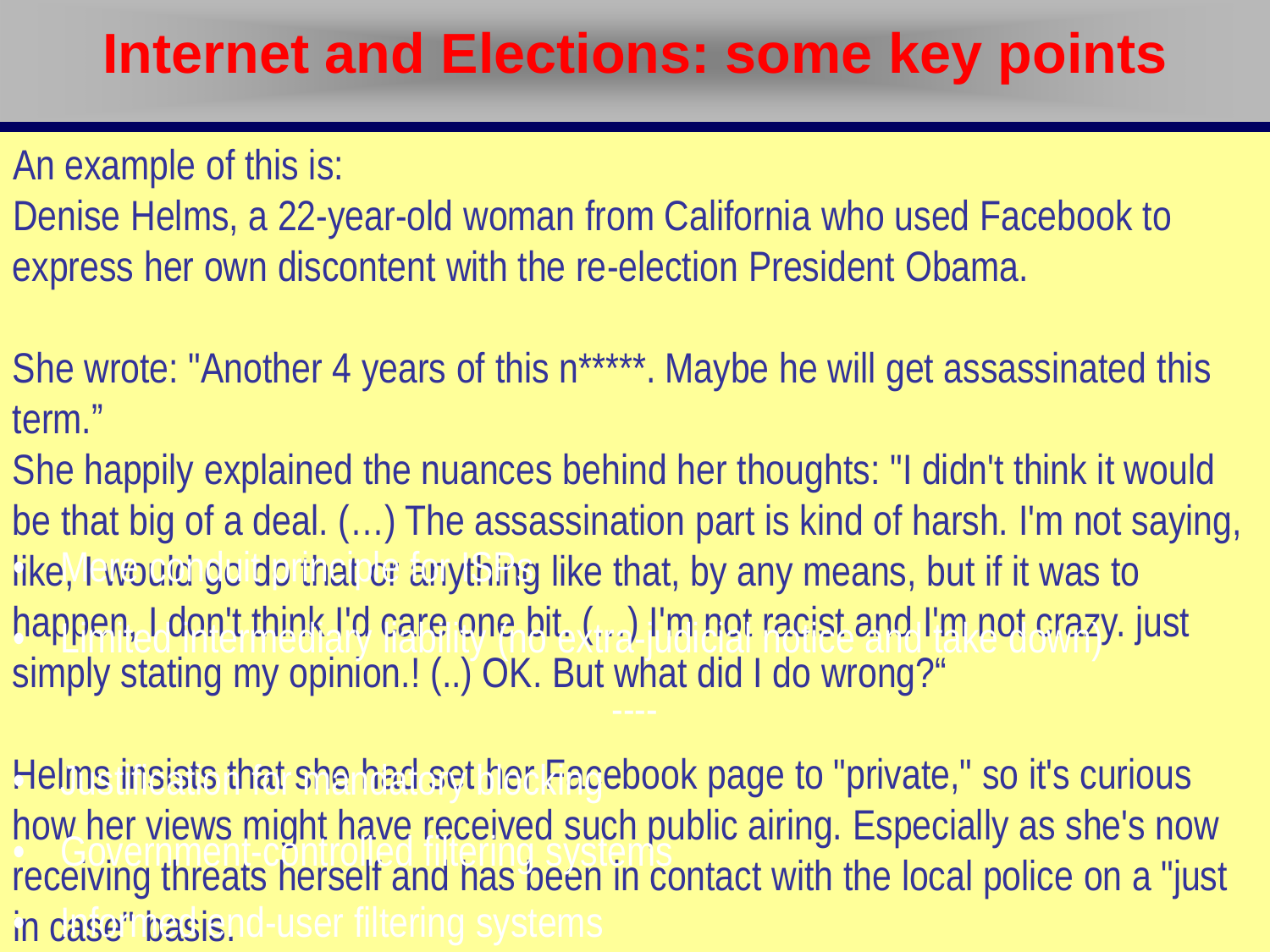**Scope and subject matter for regulation of this is:**  $\mathbb{R}^n$ 

**International Principles:** The Joint Declaration International Principles: The Joint December 2011<br>International principles: the second probabilistic and a second principles of Object 2011 • 3 part tests Denise Helms, a 22-year-old woman from California who used Facebook to express her own discontent with the re-election President Obama.

She wrote: "Another 4 years of this n\*\*\*\*\*. Maybe he will get assassinated this term."

torm.<br>Sha hannily avnlainad tha nuanca be that big of a deal. (...) The assassination part is kind of harsh. I'm not saying, She happily explained the nuances behind her thoughts: "I didn't think it would like, I would go do that or anything like that, by any means, but if it was to happen, I don't think I'd care one bit. (…) I'm not racist and I'm not crazy. just simply stating my opinion.! (..) OK. But what did I do wrong?" • Limited intermediary liability (no extra-judicial notice and take down)

Helms insists that she had set her Facebook page to "private," so it's curious how her views might have received such public airing. Especially as she's now receiving threats herself and has been in contact with the local police on a "just in dase "hasisnd-user filtering systems • Government-controlled filtering systems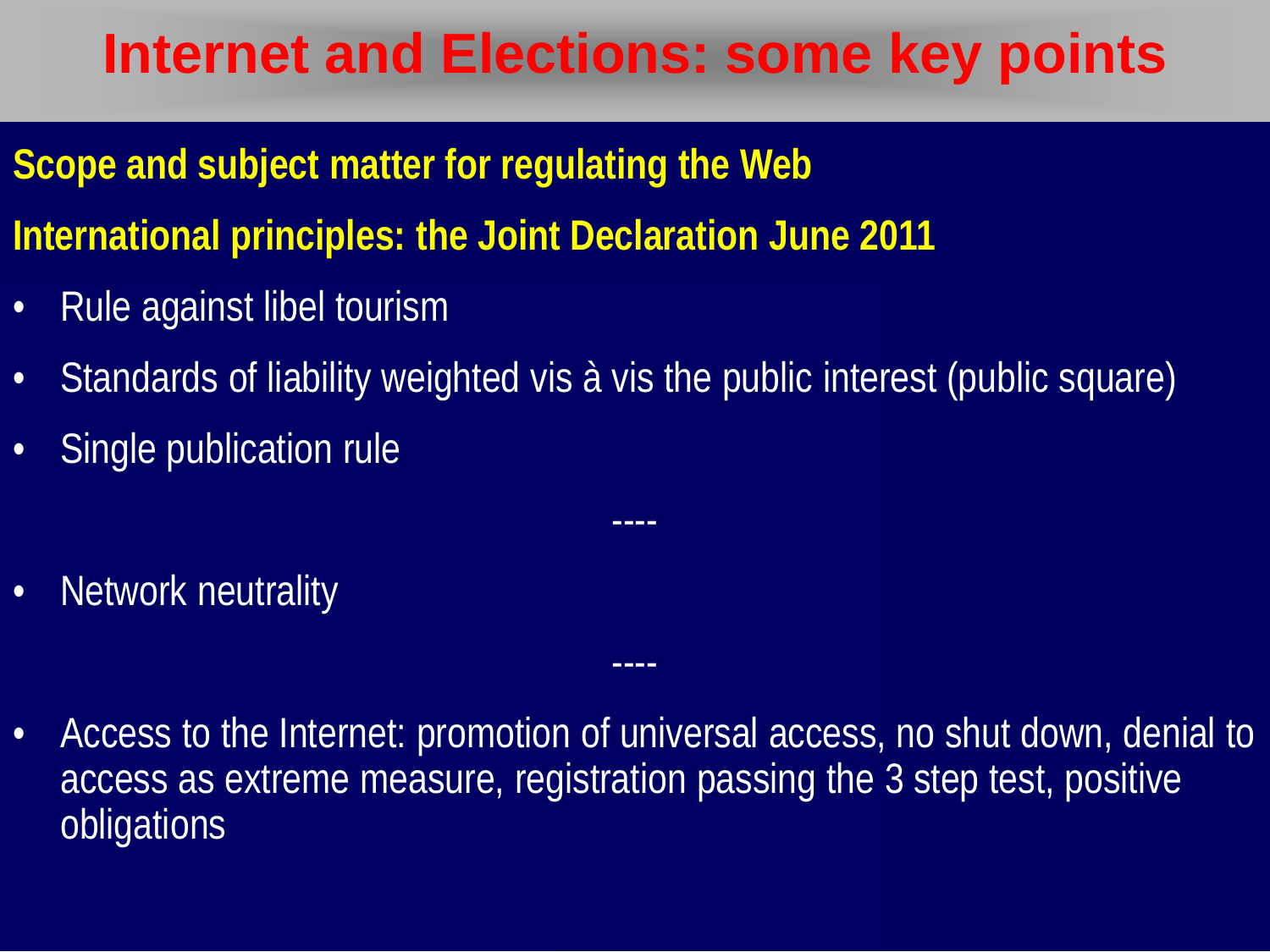- **Scope and subject matter for regulating the Web**
- **International principles: the Joint Declaration June 2011**
- Rule against libel tourism
- Standards of liability weighted vis à vis the public interest (public square)
- Single publication rule
- Network neutrality
- Access to the Internet: promotion of universal access, no shut down, denial to access as extreme measure, registration passing the 3 step test, positive obligations

----

----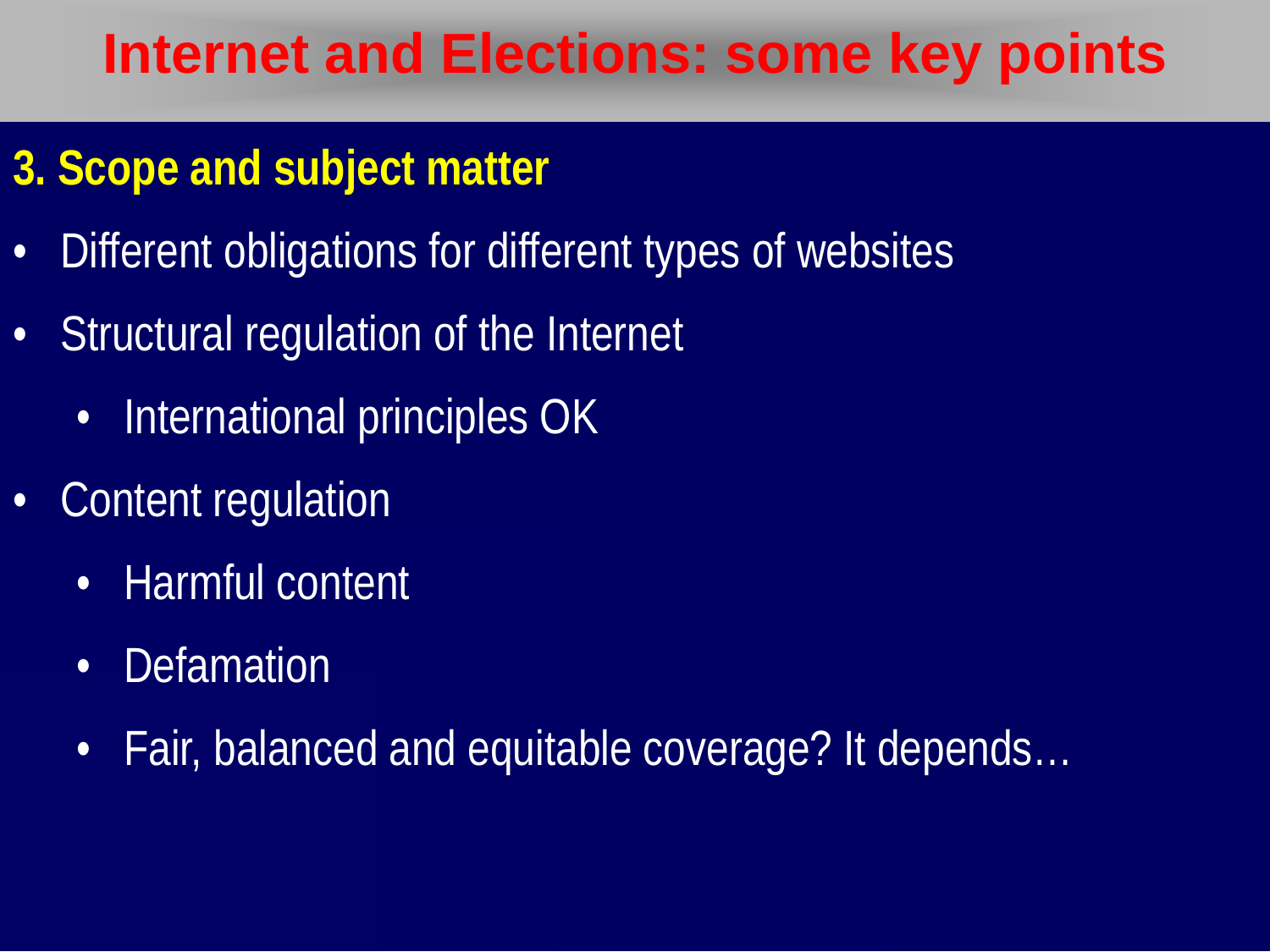#### **3. Scope and subject matter**

- Different obligations for different types of websites
- Structural regulation of the Internet
	- International principles OK
- Content regulation
	- Harmful content
	- Defamation
	- Fair, balanced and equitable coverage? It depends…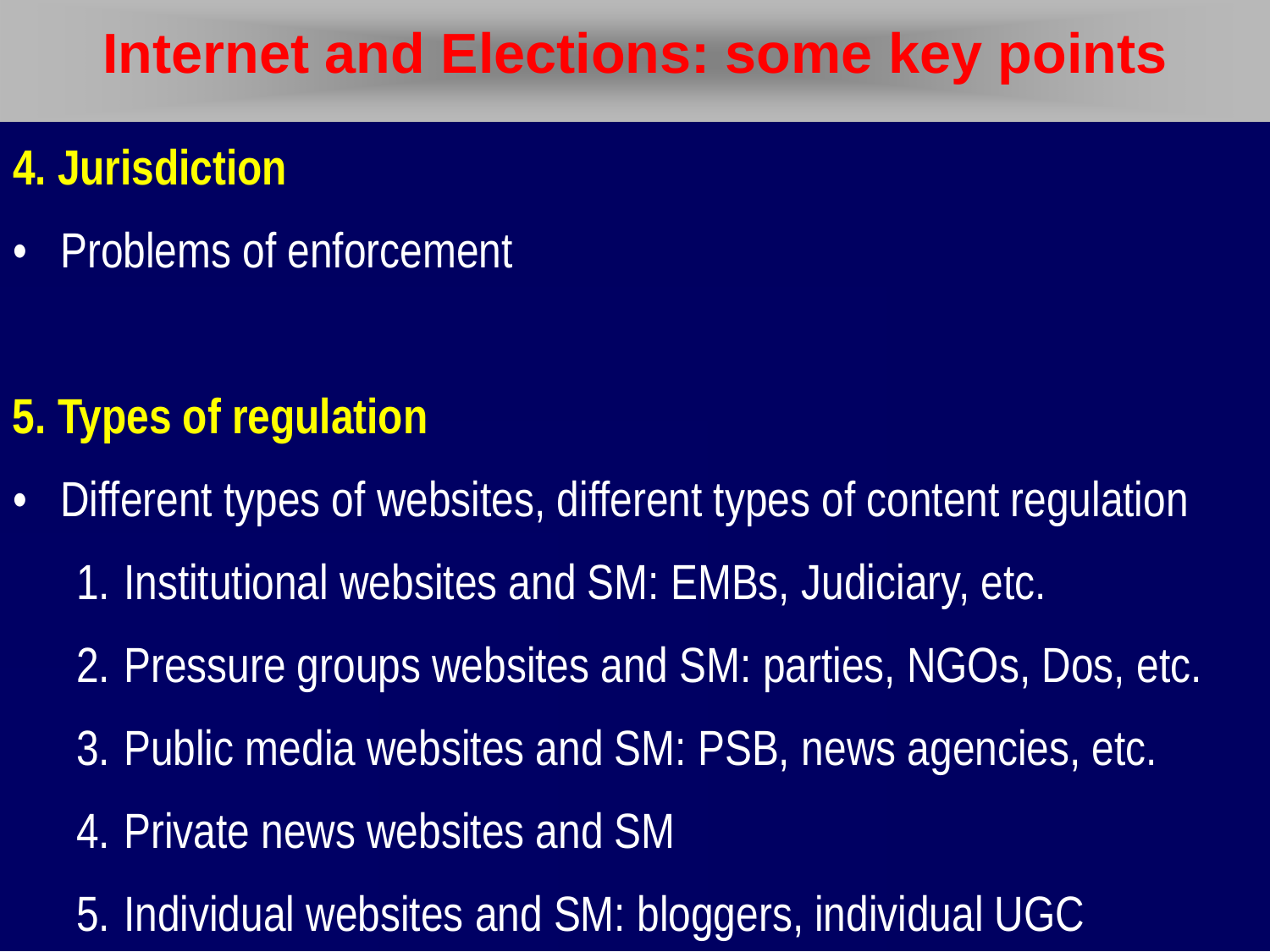#### **4. Jurisdiction**

• Problems of enforcement

#### **5. Types of regulation**

- Different types of websites, different types of content regulation
	- 1. Institutional websites and SM: EMBs, Judiciary, etc.
	- 2. Pressure groups websites and SM: parties, NGOs, Dos, etc.
	- 3. Public media websites and SM: PSB, news agencies, etc.
	- 4. Private news websites and SM
	- 5. Individual websites and SM: bloggers, individual UGC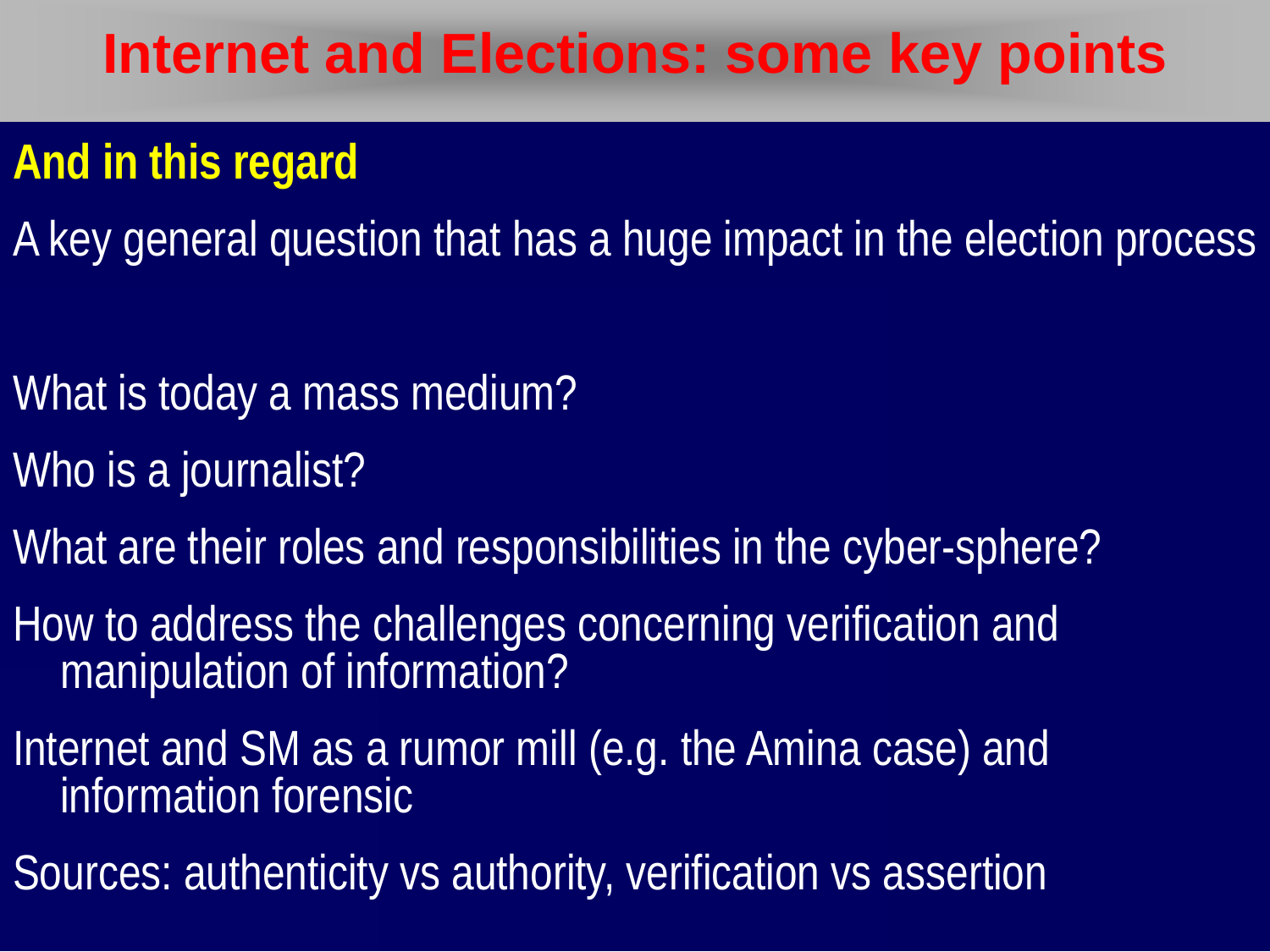#### **And in this regard**

A key general question that has a huge impact in the election process

- What is today a mass medium?
- Who is a journalist?
- What are their roles and responsibilities in the cyber-sphere?
- How to address the challenges concerning verification and manipulation of information?
- Internet and SM as a rumor mill (e.g. the Amina case) and information forensic
- Sources: authenticity vs authority, verification vs assertion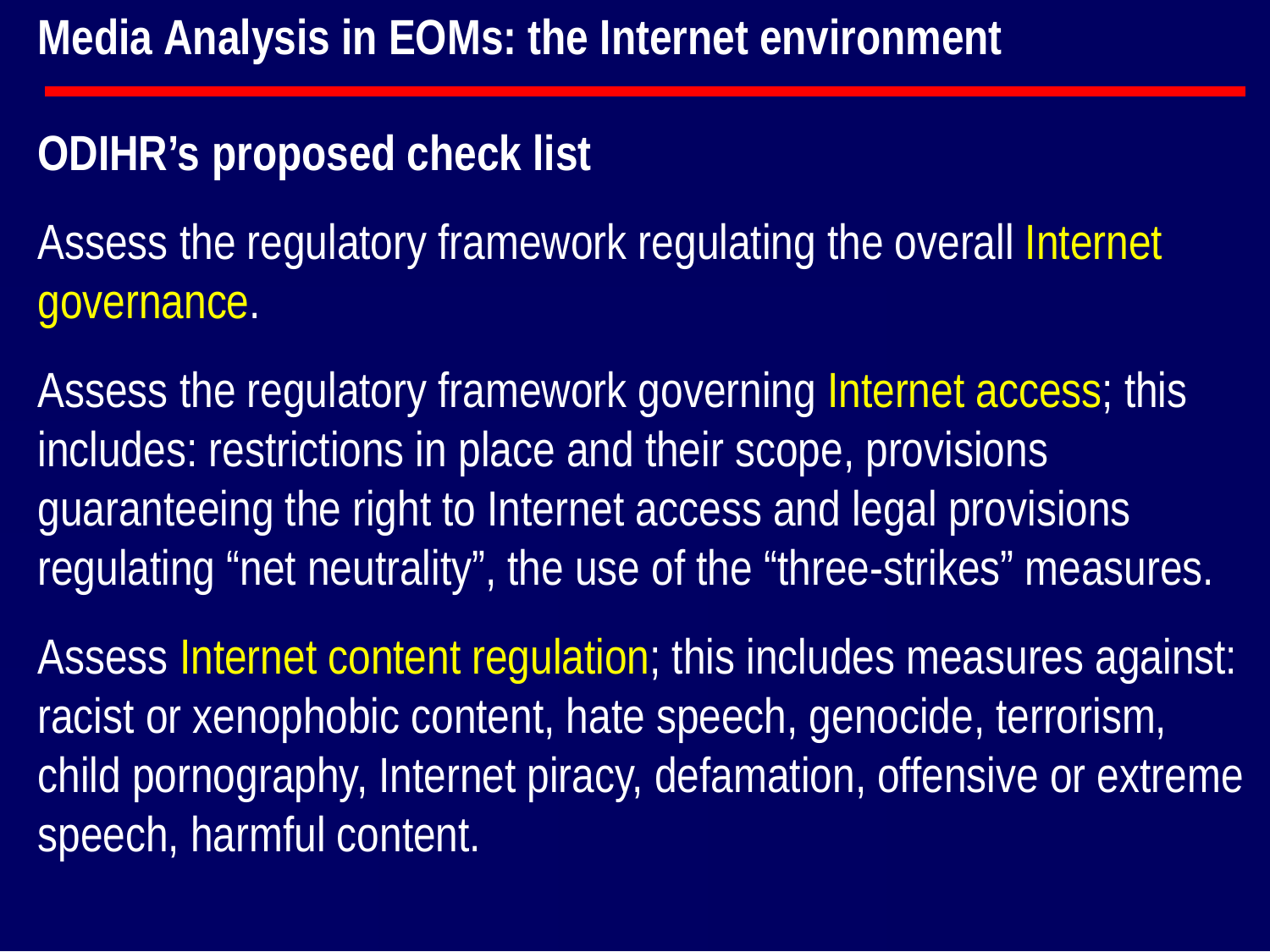#### **ODIHR's proposed check list**

Assess the regulatory framework regulating the overall Internet governance.

Assess the regulatory framework governing Internet access; this includes: restrictions in place and their scope, provisions guaranteeing the right to Internet access and legal provisions regulating "net neutrality", the use of the "three-strikes" measures.

Assess Internet content regulation; this includes measures against: racist or xenophobic content, hate speech, genocide, terrorism, child pornography, Internet piracy, defamation, offensive or extreme speech, harmful content.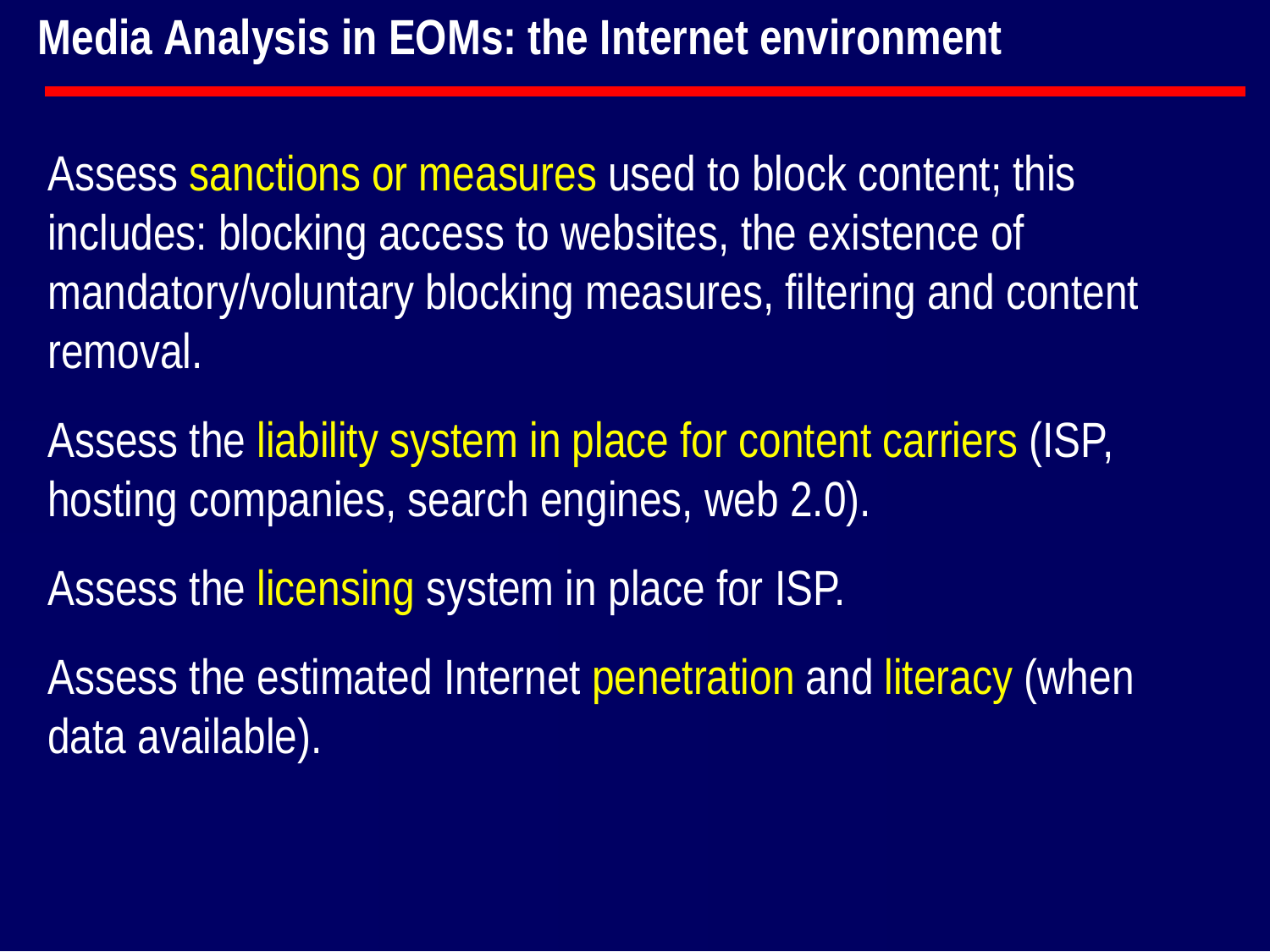Assess sanctions or measures used to block content; this includes: blocking access to websites, the existence of mandatory/voluntary blocking measures, filtering and content removal.

Assess the liability system in place for content carriers (ISP, hosting companies, search engines, web 2.0).

Assess the licensing system in place for ISP.

Assess the estimated Internet penetration and literacy (when data available).